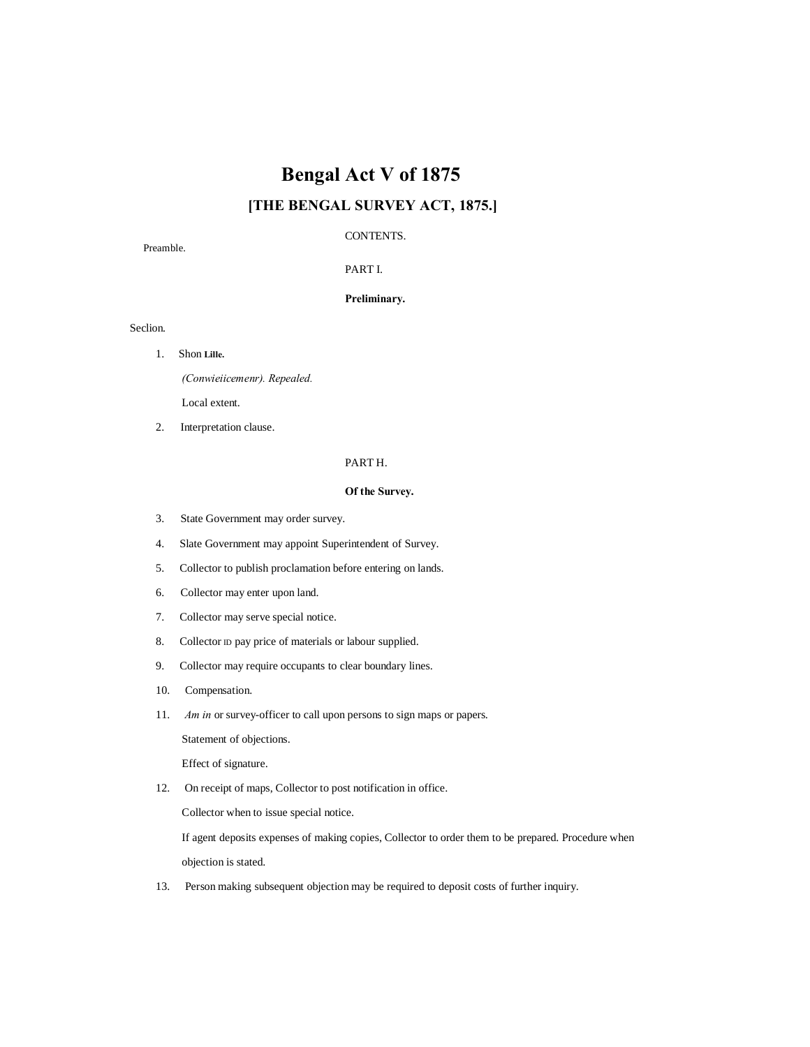# **Bengal Act V of 1875**

# **[THE BENGAL SURVEY ACT, 1875.]**

# CONTENTS.

Preamble.

PART I.

# **Preliminary.**

Seclion.

1. Shon **Lille.**

*(Conwieiicemenr). Repealed.*

Local extent.

2. Interpretation clause.

# PART H.

# **Of the Survey.**

- 3. State Government may order survey.
- 4. Slate Government may appoint Superintendent of Survey.
- 5. Collector to publish proclamation before entering on lands.
- 6. Collector may enter upon land.
- 7. Collector may serve special notice.
- 8. Collector ID pay price of materials or labour supplied.
- 9. Collector may require occupants to clear boundary lines.
- 10. Compensation.
- 11. *Am in* or survey-officer to call upon persons to sign maps or papers.

Statement of objections.

Effect of signature.

12. On receipt of maps, Collector to post notification in office.

Collector when to issue special notice.

If agent deposits expenses of making copies, Collector to order them to be prepared. Procedure when objection is stated.

13. Person making subsequent objection may be required to deposit costs of further inquiry.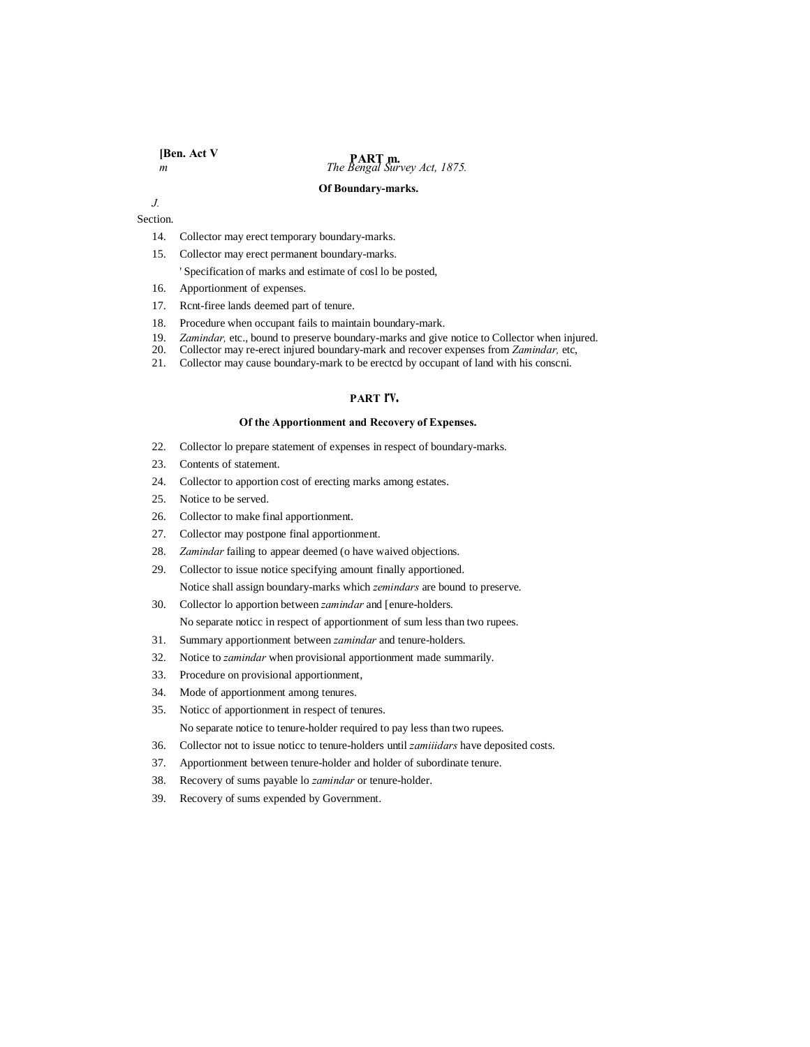# **PART m.**<br>*m The Bengal Survey Act, 1875.*

#### **Of Boundary-marks.**

*J.*

Section.

- 14. Collector may erect temporary boundary-marks.
- 15. Collector may erect permanent boundary-marks. ' Specification of marks and estimate of cosl lo be posted,
- 16. Apportionment of expenses.
- 17. Rcnt-firee lands deemed part of tenure.
- 18. Procedure when occupant fails to maintain boundary-mark.
- 19. *Zamindar,* etc., bound to preserve boundary-marks and give notice to Collector when injured.
- 20. Collector may re-erect injured boundary-mark and recover expenses from *Zamindar,* etc,
- 21. Collector may cause boundary-mark to be erectcd by occupant of land with his conscni.

## **PART rv.**

## **Of the Apportionment and Recovery of Expenses.**

- 22. Collector lo prepare statement of expenses in respect of boundary-marks.
- 23. Contents of statement.
- 24. Collector to apportion cost of erecting marks among estates.
- 25. Notice to be served.
- 26. Collector to make final apportionment.
- 27. Collector may postpone final apportionment.
- 28. *Zamindar* failing to appear deemed (o have waived objections.
- 29. Collector to issue notice specifying amount finally apportioned. Notice shall assign boundary-marks which *zemindars* are bound to preserve.
- 30. Collector lo apportion between *zamindar* and [enure-holders. No separate noticc in respect of apportionment of sum less than two rupees.
- 31. Summary apportionment between *zamindar* and tenure-holders.
- 32. Notice to *zamindar* when provisional apportionment made summarily.
- 33. Procedure on provisional apportionment,
- 34. Mode of apportionment among tenures.
- 35. Noticc of apportionment in respect of tenures. No separate notice to tenure-holder required to pay less than two rupees.
- 36. Collector not to issue noticc to tenure-holders until *zamiiidars* have deposited costs.
- 37. Apportionment between tenure-holder and holder of subordinate tenure.
- 38. Recovery of sums payable lo *zamindar* or tenure-holder.
- 39. Recovery of sums expended by Government.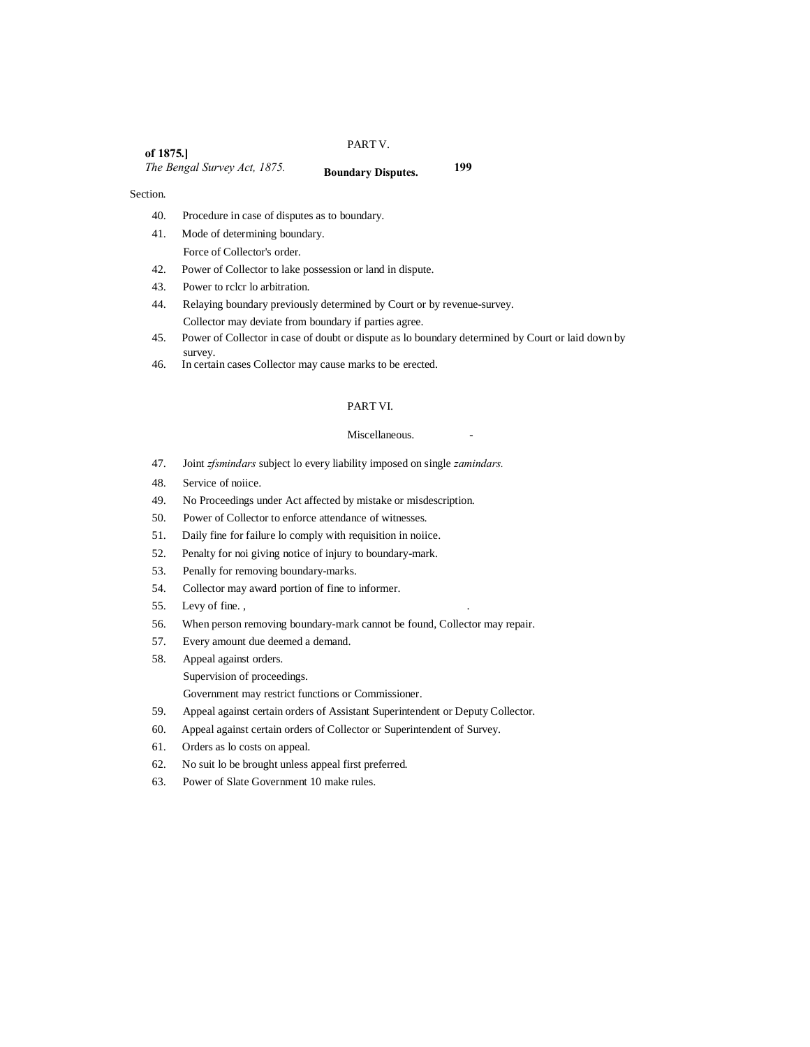#### PART V.

**of 1875.]** *The Bengal Survey Act, 1875.* **199 Boundary Disputes.**

#### Section.

- 40. Procedure in case of disputes as to boundary.
- 41. Mode of determining boundary. Force of Collector's order.
- 42. Power of Collector to lake possession or land in dispute.
- 43. Power to rclcr lo arbitration.
- 44. Relaying boundary previously determined by Court or by revenue-survey. Collector may deviate from boundary if parties agree.
- 45. Power of Collector in case of doubt or dispute as lo boundary determined by Court or laid down by survey.
- 46. In certain cases Collector may cause marks to be erected.

# PART VI.

#### Miscellaneous.

- 47. Joint *zfsmindars* subject lo every liability imposed on single *zamindars.*
- 48. Service of noiice.
- 49. No Proceedings under Act affected by mistake or misdescription.
- 50. Power of Collector to enforce attendance of witnesses.
- 51. Daily fine for failure lo comply with requisition in noiice.
- 52. Penalty for noi giving notice of injury to boundary-mark.
- 53. Penally for removing boundary-marks.
- 54. Collector may award portion of fine to informer.
- 55. Levy of fine. , .
- 56. When person removing boundary-mark cannot be found, Collector may repair.
- 57. Every amount due deemed a demand.
- 58. Appeal against orders.
	- Supervision of proceedings.

Government may restrict functions or Commissioner.

- 59. Appeal against certain orders of Assistant Superintendent or Deputy Collector.
- 60. Appeal against certain orders of Collector or Superintendent of Survey.
- 61. Orders as lo costs on appeal.
- 62. No suit lo be brought unless appeal first preferred.
- 63. Power of Slate Government 10 make rules.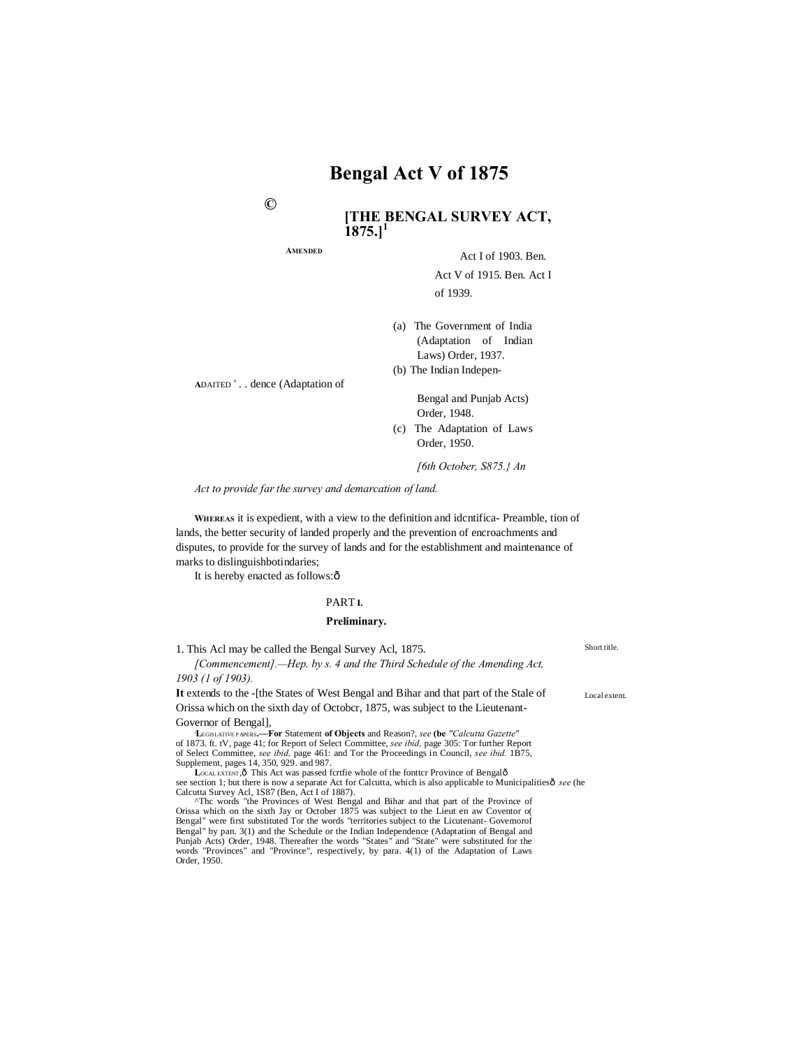**©**

# **[THE BENGAL SURVEY ACT,**   $1875.$ <sup>1</sup>

**AMENDED**

Act I of 1903. Ben.

Act V of 1915. Ben. Act I of 1939.

(a) The Government of India (Adaptation of Indian Laws) Order, 1937. (b) The Indian Indepen-

**A**DAITED ' . . dence (Adaptation of

Bengal and Punjab Acts) Order, 1948.

(c) The Adaptation of Laws Order, 1950.

*[6th October, S875.} An* 

*Act to provide far the survey and demarcation of land.*

**WHEREAS** it is expedient, with a view to the definition and idcntifica- Preamble, tion of lands, the better security of landed properly and the prevention of encroachments and disputes, to provide for the survey of lands and for the establishment and maintenance of marks to dislinguishbotindaries;

It is hereby enacted as follows: $\hat{o}$ 

#### PART **I.**

#### **Preliminary.**

| 1. This Acl may be called the Bengal Survey Acl, 1875.                                                                                                                                                                                                                                                                                                                | Short title.  |
|-----------------------------------------------------------------------------------------------------------------------------------------------------------------------------------------------------------------------------------------------------------------------------------------------------------------------------------------------------------------------|---------------|
| [Commencement].—Hep. by s. 4 and the Third Schedule of the Amending Act,                                                                                                                                                                                                                                                                                              |               |
| $1903$ (1 of 1903).                                                                                                                                                                                                                                                                                                                                                   |               |
| It extends to the - the States of West Bengal and Bihar and that part of the Stale of                                                                                                                                                                                                                                                                                 | Local extent. |
| Orissa which on the sixth day of October, 1875, was subject to the Lieutenant-                                                                                                                                                                                                                                                                                        |               |
| Governor of Bengal,                                                                                                                                                                                                                                                                                                                                                   |               |
| <b>LEGISLATIVE PAPERS.—For Statement of Objects and Reason?, see (be "Calcutta Gazette"</b>                                                                                                                                                                                                                                                                           |               |
| of 1873. ft. tV, page 41; for Report of Select Committee, see ibid, page 305: Tor further Report                                                                                                                                                                                                                                                                      |               |
| of Select Committee, <i>see ibid</i> , page 461: and Tor the Proceedings in Council, <i>see ibid.</i> 1B75,                                                                                                                                                                                                                                                           |               |
| Supplement, pages 14, 350, 929, and 987.                                                                                                                                                                                                                                                                                                                              |               |
| LOCAL EXTENT Ô This Act was passed fortfie whole of the fontter Province of Bengalô                                                                                                                                                                                                                                                                                   |               |
| see section 1; but there is now a separate Act for Calcutta, which is also applicable to Municipalities of see (he                                                                                                                                                                                                                                                    |               |
| Calcutta Survey Acl, 1S87 (Ben, Act I of 1887).                                                                                                                                                                                                                                                                                                                       |               |
| <sup>^</sup> The words "the Provinces of West Bengal and Bihar and that part of the Province of                                                                                                                                                                                                                                                                       |               |
| Orissa which on the sixth Jay or October 1875 was subject to the Lieut en aw Coventor of                                                                                                                                                                                                                                                                              |               |
| $\mathbf{D}_{\text{total}}$ , $\mathbf{D}_{\text{total}}$ , $\mathbf{D}_{\text{total}}$ , $\mathbf{A}_{\text{total}}$ , $\mathbf{A}_{\text{total}}$ , $\mathbf{D}_{\text{total}}$ , $\mathbf{D}_{\text{total}}$ , $\mathbf{D}_{\text{total}}$ , $\mathbf{D}_{\text{total}}$ , $\mathbf{D}_{\text{total}}$ , $\mathbf{D}_{\text{total}}$ , $\mathbf{D}_{\text{total}}$ |               |

Bengal" were first substituted Tor the words "territories subject to the Licutenant- Govemorof Bengal" by pan. 3(1) and the Schedule or the Indian Independence (Adaptation of Bengal and Punjab Acts) Order, 1948. Thereafter the words "States" and "State" were substituted for the words "Provinces" and "Province", respectively, by para. 4(1) of the Adaptation of Laws Order, 1950.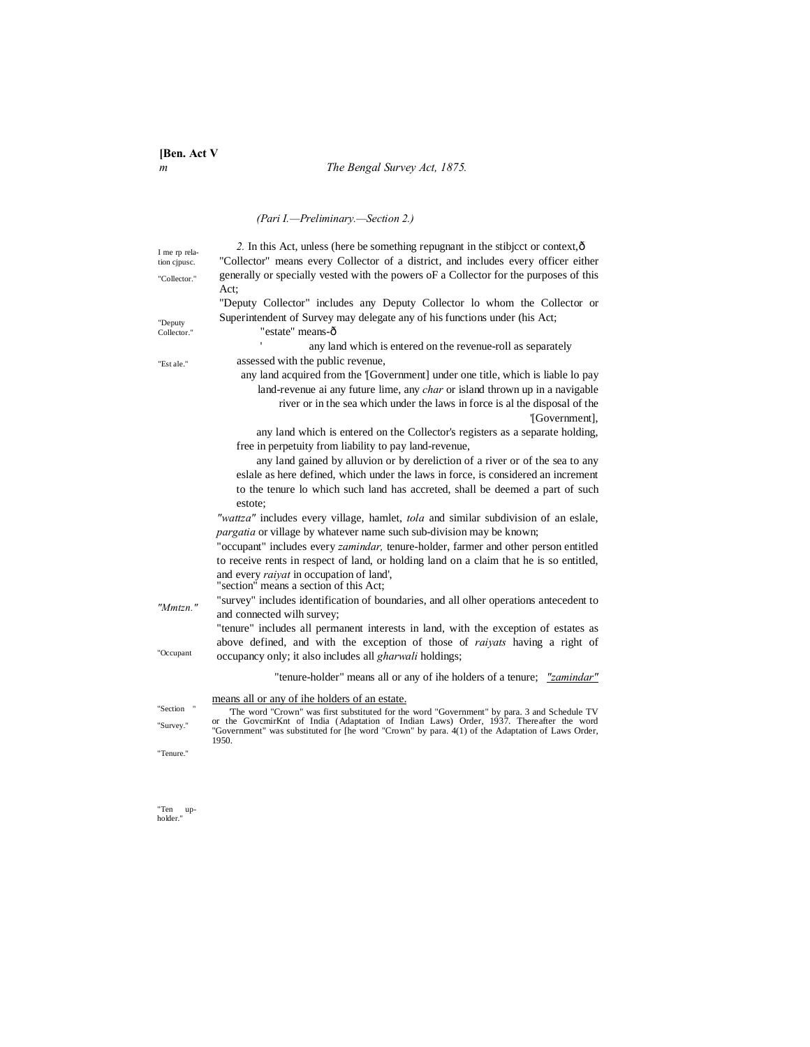# *m The Bengal Survey Act, 1875.*

# *(Pari I.—Preliminary.—Section 2.)*

| I me rp rela- | 2. In this Act, unless (here be something repugnant in the stibject or context, $\hat{o}$                                                                                                    |
|---------------|----------------------------------------------------------------------------------------------------------------------------------------------------------------------------------------------|
| tion cipusc.  | "Collector" means every Collector of a district, and includes every officer either                                                                                                           |
| "Collector."  | generally or specially vested with the powers of a Collector for the purposes of this                                                                                                        |
|               | Act:                                                                                                                                                                                         |
|               | "Deputy Collector" includes any Deputy Collector lo whom the Collector or                                                                                                                    |
| "Deputy       | Superintendent of Survey may delegate any of his functions under (his Act;                                                                                                                   |
| Collector."   | "estate" means-ô                                                                                                                                                                             |
|               | any land which is entered on the revenue-roll as separately                                                                                                                                  |
| "Est ale."    | assessed with the public revenue,                                                                                                                                                            |
|               | any land acquired from the [Government] under one title, which is liable lo pay                                                                                                              |
|               | land-revenue ai any future lime, any <i>char</i> or island thrown up in a navigable                                                                                                          |
|               | river or in the sea which under the laws in force is al the disposal of the                                                                                                                  |
|               | '[Government],                                                                                                                                                                               |
|               | any land which is entered on the Collector's registers as a separate holding,                                                                                                                |
|               | free in perpetuity from liability to pay land-revenue,                                                                                                                                       |
|               | any land gained by alluvion or by dereliction of a river or of the sea to any                                                                                                                |
|               | eslale as here defined, which under the laws in force, is considered an increment                                                                                                            |
|               | to the tenure lo which such land has accreted, shall be deemed a part of such                                                                                                                |
|               | estote:                                                                                                                                                                                      |
|               | "wattza" includes every village, hamlet, tola and similar subdivision of an eslale,                                                                                                          |
|               | pargatia or village by whatever name such sub-division may be known;                                                                                                                         |
|               | "occupant" includes every <i>zamindar</i> , tenure-holder, farmer and other person entitled                                                                                                  |
|               | to receive rents in respect of land, or holding land on a claim that he is so entitled,                                                                                                      |
|               | and every <i>raivat</i> in occupation of land',                                                                                                                                              |
|               | "section" means a section of this Act;                                                                                                                                                       |
| "Mmtzn."      | "survey" includes identification of boundaries, and all olher operations antecedent to                                                                                                       |
|               | and connected wilh survey;                                                                                                                                                                   |
|               | "tenure" includes all permanent interests in land, with the exception of estates as                                                                                                          |
| "Occupant     | above defined, and with the exception of those of <i>raivats</i> having a right of                                                                                                           |
|               | occupancy only; it also includes all gharwali holdings;                                                                                                                                      |
|               | "tenure-holder" means all or any of ihe holders of a tenure; " <i>zamindar</i> "                                                                                                             |
|               | means all or any of ihe holders of an estate.                                                                                                                                                |
| "Section "    | The word "Crown" was first substituted for the word "Government" by para. 3 and Schedule TV                                                                                                  |
| "Survey."     | or the GovernirKnt of India (Adaptation of Indian Laws) Order, 1937. Thereafter the word<br>"Government" was substituted for [he word "Crown" by para. 4(1) of the Adaptation of Laws Order, |
|               | 1950.                                                                                                                                                                                        |
| "Tenure."     |                                                                                                                                                                                              |
|               |                                                                                                                                                                                              |

"Ten up-holder."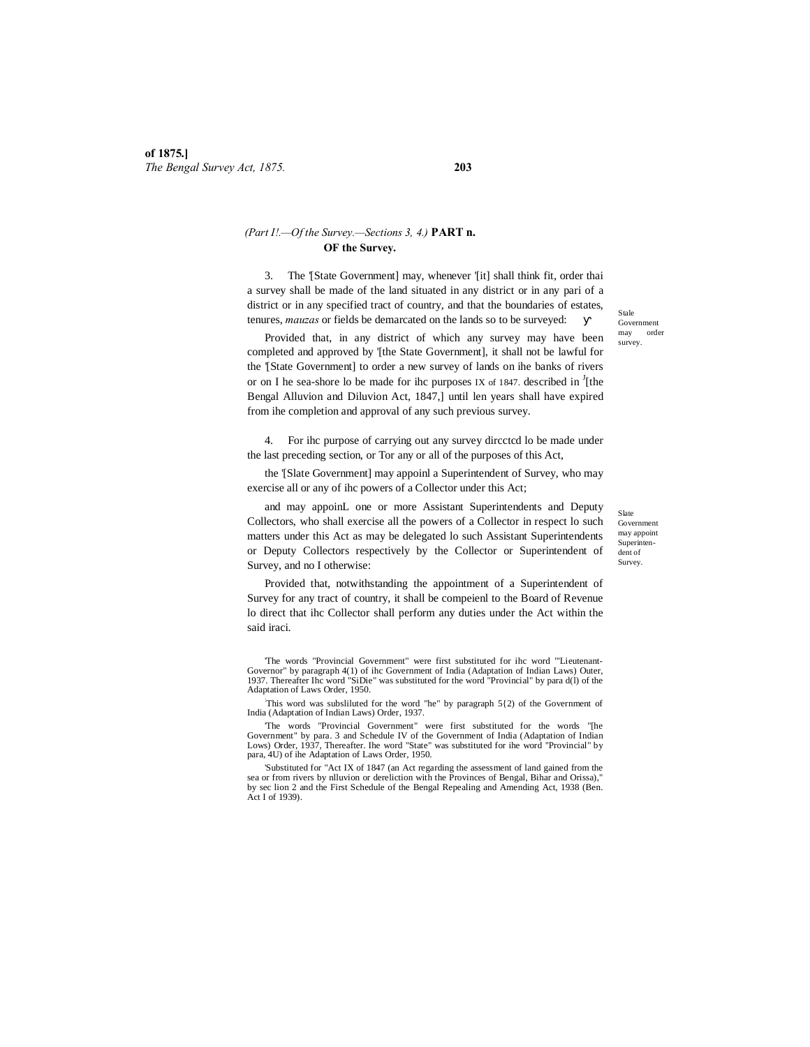# *(Part I!.—Of the Survey.—Sections 3, 4.)* **PART n. OF the Survey.**

3. The '[State Government] may, whenever '[it] shall think fit, order thai a survey shall be made of the land situated in any district or in any pari of a district or in any specified tract of country, and that the boundaries of estates, tenures, *mauzas* or fields be demarcated on the lands so to be surveyed:

Provided that, in any district of which any survey may have been completed and approved by '[the State Government], it shall not be lawful for the '[State Government] to order a new survey of lands on ihe banks of rivers or on I he sea-shore lo be made for ihc purposes IX of 1847. described in  $\frac{J}{I}$  [the Bengal Alluvion and Diluvion Act, 1847,] until len years shall have expired from ihe completion and approval of any such previous survey.

4. For ihc purpose of carrying out any survey dircctcd lo be made under the last preceding section, or Tor any or all of the purposes of this Act,

the '[Slate Government] may appoinl a Superintendent of Survey, who may exercise all or any of ihc powers of a Collector under this Act;

and may appoinL one or more Assistant Superintendents and Deputy Collectors, who shall exercise all the powers of a Collector in respect lo such matters under this Act as may be delegated lo such Assistant Superintendents or Deputy Collectors respectively by the Collector or Superintendent of Survey, and no I otherwise:

Provided that, notwithstanding the appointment of a Superintendent of Survey for any tract of country, it shall be compeienl to the Board of Revenue lo direct that ihc Collector shall perform any duties under the Act within the said iraci.

'The words "Provincial Government" were first substituted for ihc word '"Lieutenant-Governor" by paragraph 4(1) of ihc Government of India (Adaptation of Indian Laws) Outer, 1937. Thereafter Ihc word "SiDie" was substituted for the word "Provincial" by para d(l) of the Adaptation of Laws Order, 1950.

: This word was subsliluted for the word "he" by paragraph 5{2) of the Government of India (Adaptation of Indian Laws) Order, 1937.

'The words "Provincial Government" were first substituted for the words "[he Government" by para. 3 and Schedule IV of the Government of India (Adaptation of Indian Lows) Order, 1937, Thereafter. Ihe word "State" was substituted for ihe word "Provincial" by para, 4U) of ihe Adaptation of Laws Order, 1950.

'Substituted for "Act IX of 1847 (an Act regarding the assessment of land gained from the sea or from rivers by nlluvion or dereliction with the Provinces of Bengal, Bihar and Orissa)," by sec lion 2 and the First Schedule of the Bengal Repealing and Amending Act, 1938 (Ben. Act I of 1939).

 $S_{\text{tol}}$ Government may order survey.

Slate Government may appoint Superintendent of Survey.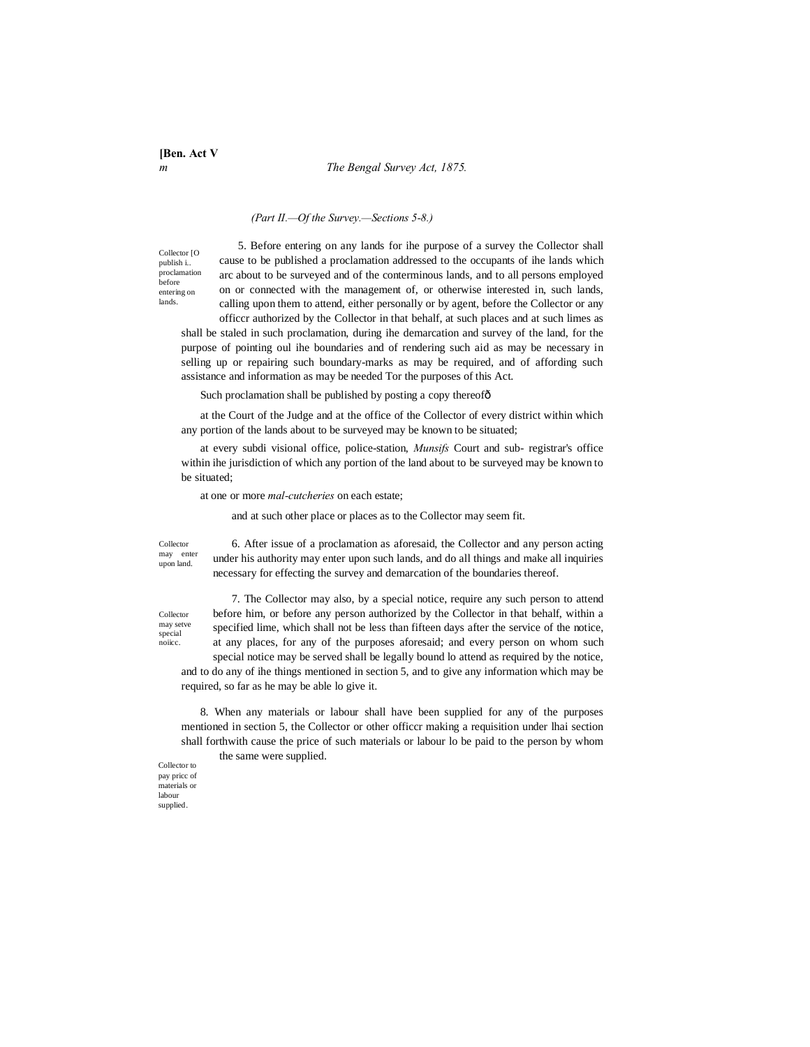**[Ben. Act V**

#### *m The Bengal Survey Act, 1875.*

#### *(Part II.—Of the Survey.—Sections 5-8.)*

Collector [O publish i.. proclamation before entering on lands.

5. Before entering on any lands for ihe purpose of a survey the Collector shall cause to be published a proclamation addressed to the occupants of ihe lands which arc about to be surveyed and of the conterminous lands, and to all persons employed on or connected with the management of, or otherwise interested in, such lands, calling upon them to attend, either personally or by agent, before the Collector or any officcr authorized by the Collector in that behalf, at such places and at such limes as

shall be staled in such proclamation, during ihe demarcation and survey of the land, for the purpose of pointing oul ihe boundaries and of rendering such aid as may be necessary in selling up or repairing such boundary-marks as may be required, and of affording such assistance and information as may be needed Tor the purposes of this Act.

Such proclamation shall be published by posting a copy thereofô

at the Court of the Judge and at the office of the Collector of every district within which any portion of the lands about to be surveyed may be known to be situated;

at every subdi visional office, police-station, *Munsifs* Court and sub- registrar's office within ihe jurisdiction of which any portion of the land about to be surveyed may be known to be situated;

at one or more *mal-cutcheries* on each estate;

and at such other place or places as to the Collector may seem fit.

Collector may enter upon land.

6. After issue of a proclamation as aforesaid, the Collector and any person acting under his authority may enter upon such lands, and do all things and make all inquiries necessary for effecting the survey and demarcation of the boundaries thereof.

Collector may setve special noiicc.

7. The Collector may also, by a special notice, require any such person to attend before him, or before any person authorized by the Collector in that behalf, within a specified lime, which shall not be less than fifteen days after the service of the notice, at any places, for any of the purposes aforesaid; and every person on whom such special notice may be served shall be legally bound lo attend as required by the notice,

and to do any of ihe things mentioned in section 5, and to give any information which may be required, so far as he may be able lo give it.

8. When any materials or labour shall have been supplied for any of the purposes mentioned in section 5, the Collector or other officcr making a requisition under lhai section shall forthwith cause the price of such materials or labour lo be paid to the person by whom the same were supplied.

Collector to pay pricc of materials or labour supplied.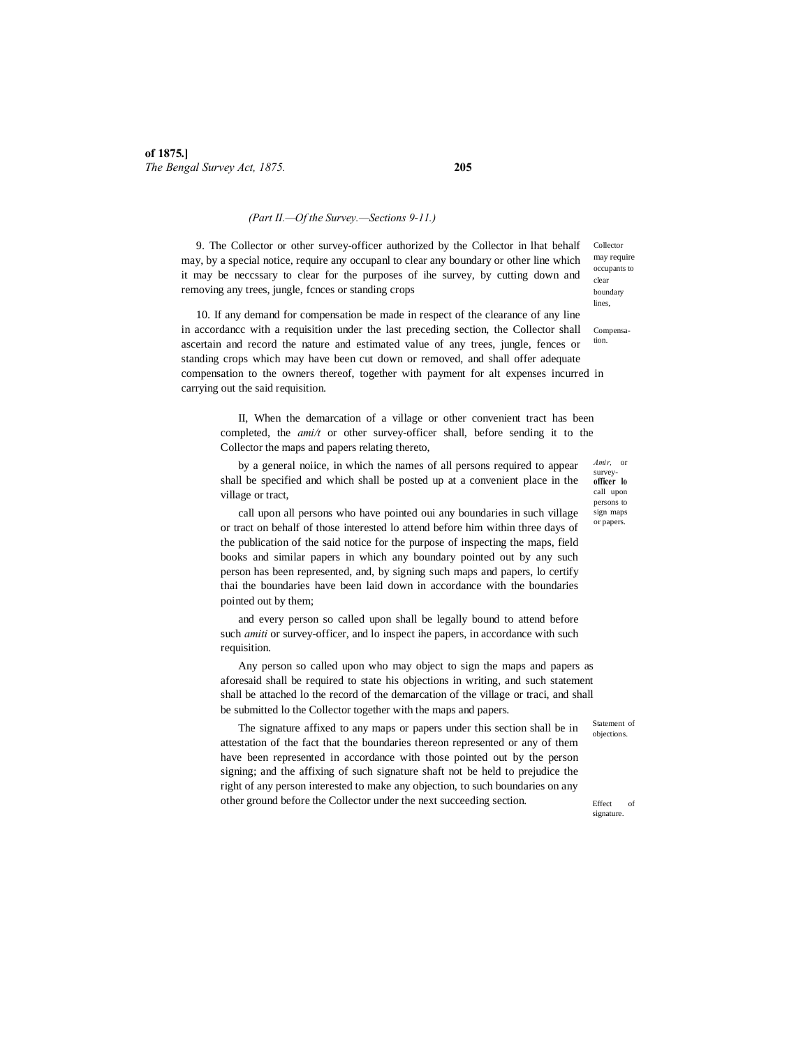### *(Part II.—Of the Survey.—Sections 9-11.)*

9. The Collector or other survey-officer authorized by the Collector in lhat behalf may, by a special notice, require any occupanl to clear any boundary or other line which it may be neccssary to clear for the purposes of ihe survey, by cutting down and removing any trees, jungle, fcnces or standing crops

10. If any demand for compensation be made in respect of the clearance of any line in accordancc with a requisition under the last preceding section, the Collector shall ascertain and record the nature and estimated value of any trees, jungle, fences or standing crops which may have been cut down or removed, and shall offer adequate compensation to the owners thereof, together with payment for alt expenses incurred in carrying out the said requisition.

II, When the demarcation of a village or other convenient tract has been completed, the *ami/t* or other survey-officer shall, before sending it to the Collector the maps and papers relating thereto,

by a general noiice, in which the names of all persons required to appear shall be specified and which shall be posted up at a convenient place in the village or tract,

call upon all persons who have pointed oui any boundaries in such village or tract on behalf of those interested lo attend before him within three days of the publication of the said notice for the purpose of inspecting the maps, field books and similar papers in which any boundary pointed out by any such person has been represented, and, by signing such maps and papers, lo certify thai the boundaries have been laid down in accordance with the boundaries pointed out by them;

and every person so called upon shall be legally bound to attend before such *amiti* or survey-officer, and lo inspect ihe papers, in accordance with such requisition.

Any person so called upon who may object to sign the maps and papers as aforesaid shall be required to state his objections in writing, and such statement shall be attached lo the record of the demarcation of the village or traci, and shall be submitted lo the Collector together with the maps and papers.

The signature affixed to any maps or papers under this section shall be in attestation of the fact that the boundaries thereon represented or any of them have been represented in accordance with those pointed out by the person signing; and the affixing of such signature shaft not be held to prejudice the right of any person interested to make any objection, to such boundaries on any other ground before the Collector under the next succeeding section.

Collector may require occupants to clear boundary lines,

Compensation.

*Amir,* or survey**officer lo**  call upon persons to sign maps or papers.

Statement of objections.

Effect of signature.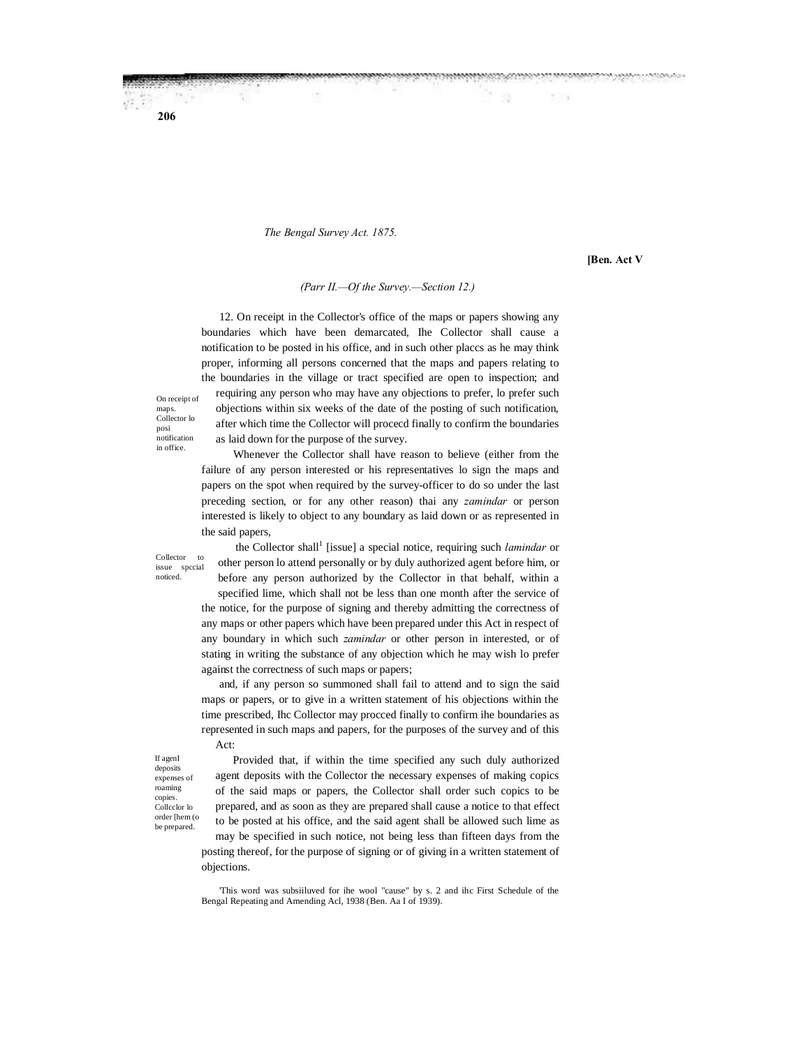#### *The Bengal Survey Act. 1875.*

as laid down for the purpose of the survey.

**[Ben. Act V**

ustates per servizionare

n

#### *(Parr II.—Of the Survey.—Section 12.)*

12. On receipt in the Collector's office of the maps or papers showing any boundaries which have been demarcated, Ihe Collector shall cause a notification to be posted in his office, and in such other placcs as he may think proper, informing all persons concerned that the maps and papers relating to the boundaries in the village or tract specified are open to inspection; and requiring any person who may have any objections to prefer, lo prefer such

objections within six weeks of the date of the posting of such notification, after which time the Collector will procecd finally to confirm the boundaries

On receipt of maps. Collector lo posi **notification** in office.

**206**

Whenever the Collector shall have reason to believe (either from the failure of any person interested or his representatives lo sign the maps and papers on the spot when required by the survey-officer to do so under the last preceding section, or for any other reason) thai any *zamindar* or person interested is likely to object to any boundary as laid down or as represented in the said papers,

Collector to issue spccial noticed.

the Collector shall<sup>1</sup> [issue] a special notice, requiring such *lamindar* or other person lo attend personally or by duly authorized agent before him, or before any person authorized by the Collector in that behalf, within a specified lime, which shall not be less than one month after the service of the notice, for the purpose of signing and thereby admitting the correctness of any maps or other papers which have been prepared under this Act in respect of any boundary in which such *zamindar* or other person in interested, or of stating in writing the substance of any objection which he may wish lo prefer against the correctness of such maps or papers;

and, if any person so summoned shall fail to attend and to sign the said maps or papers, or to give in a written statement of his objections within the time prescribed, Ihc Collector may procced finally to confirm ihe boundaries as represented in such maps and papers, for the purposes of the survey and of this Act:

If agenI deposits expenses of roaming copies. Collcclor lo order [hem (o be prepared.

Provided that, if within the time specified any such duly authorized agent deposits with the Collector the necessary expenses of making copics of the said maps or papers, the Collector shall order such copics to be prepared, and as soon as they are prepared shall cause a notice to that effect to be posted at his office, and the said agent shall be allowed such lime as may be specified in such notice, not being less than fifteen days from the

posting thereof, for the purpose of signing or of giving in a written statement of objections.

<sup>&#</sup>x27;This word was subsiiluved for ihe wool "cause" by s. 2 and ihc First Schedule of the Bengal Repeating and Amending Acl, 1938 (Ben. Aa I of 1939).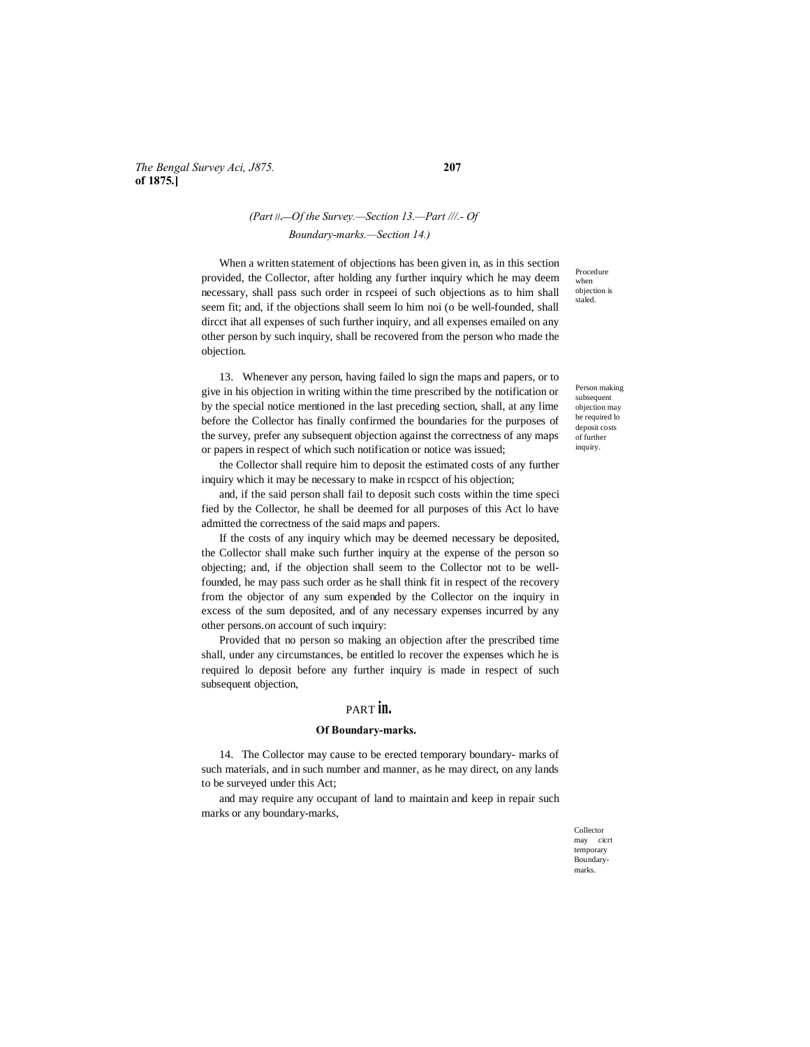# *The Bengal Survey Aci, J875.* **207 of 1875.]**

# *(Part* **//.—***Of the Survey.—Section 13.—Part ///.- Of Boundary-marks.—Section 14.)*

When a written statement of objections has been given in, as in this section provided, the Collector, after holding any further inquiry which he may deem necessary, shall pass such order in rcspeei of such objections as to him shall seem fit; and, if the objections shall seem lo him noi (o be well-founded, shall dircct ihat all expenses of such further inquiry, and all expenses emailed on any other person by such inquiry, shall be recovered from the person who made the objection.

13. Whenever any person, having failed lo sign the maps and papers, or to give in his objection in writing within the time prescribed by the notification or by the special notice mentioned in the last preceding section, shall, at any lime before the Collector has finally confirmed the boundaries for the purposes of the survey, prefer any subsequent objection against the correctness of any maps or papers in respect of which such notification or notice was issued;

the Collector shall require him to deposit the estimated costs of any further inquiry which it may be necessary to make in rcspcct of his objection;

and, if the said person shall fail to deposit such costs within the time speci fied by the Collector, he shall be deemed for all purposes of this Act lo have admitted the correctness of the said maps and papers.

If the costs of any inquiry which may be deemed necessary be deposited, the Collector shall make such further inquiry at the expense of the person so objecting; and, if the objection shall seem to the Collector not to be wellfounded, he may pass such order as he shall think fit in respect of the recovery from the objector of any sum expended by the Collector on the inquiry in excess of the sum deposited, and of any necessary expenses incurred by any other persons.on account of such inquiry:

Provided that no person so making an objection after the prescribed time shall, under any circumstances, be entitled lo recover the expenses which he is required lo deposit before any further inquiry is made in respect of such subsequent objection,

# PART **in.**

#### **Of Boundary-marks.**

14. The Collector may cause to be erected temporary boundary- marks of such materials, and in such number and manner, as he may direct, on any lands to be surveyed under this Act;

and may require any occupant of land to maintain and keep in repair such marks or any boundary-marks,

Procedure when objection is staled.

Person making subsequent objection may be required lo deposit costs of further inquiry.

Collector may cicrt temporary Boundarymarks.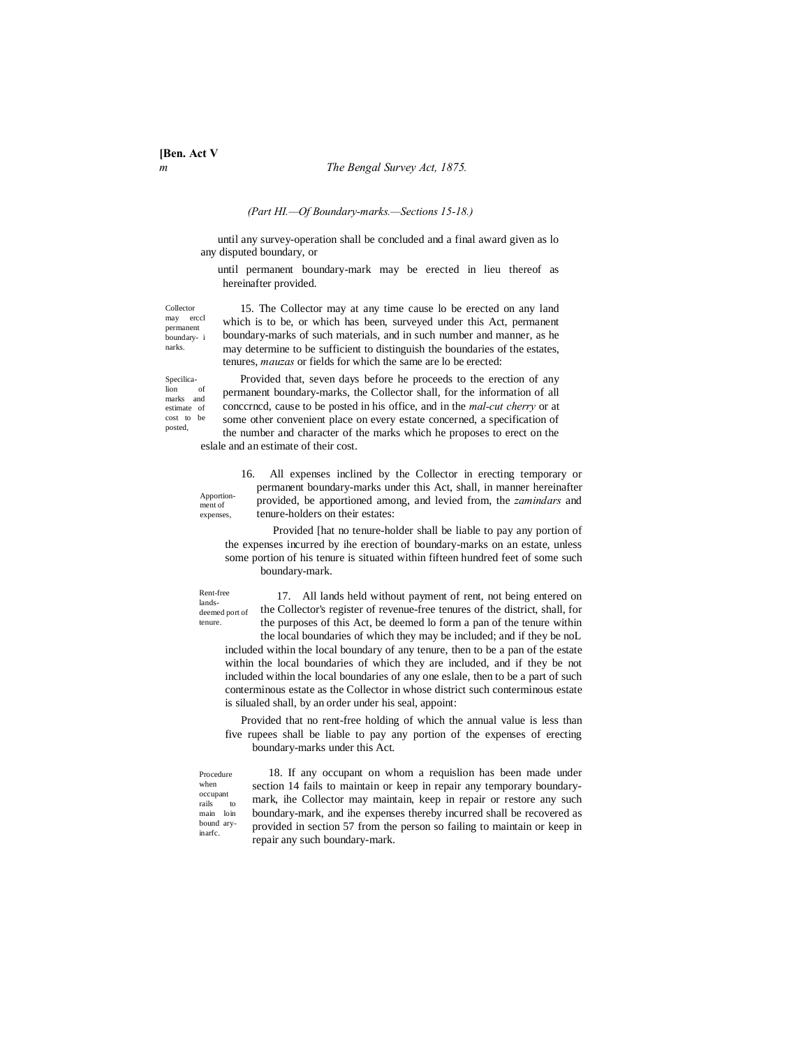#### *(Part HI.—Of Boundary-marks.—Sections 15-18.)*

until any survey-operation shall be concluded and a final award given as lo any disputed boundary, or

until permanent boundary-mark may be erected in lieu thereof as hereinafter provided.

Collector may erccl permanent boundary- i narks.

15. The Collector may at any time cause lo be erected on any land which is to be, or which has been, surveyed under this Act, permanent boundary-marks of such materials, and in such number and manner, as he may determine to be sufficient to distinguish the boundaries of the estates, tenures, *mauzas* or fields for which the same are lo be erected:

Specilica-<br>lion of  $\bar{a}$ marks and estimate of cost to be posted,

Provided that, seven days before he proceeds to the erection of any permanent boundary-marks, the Collector shall, for the information of all conccrncd, cause to be posted in his office, and in the *mal-cut cherry* or at some other convenient place on every estate concerned, a specification of the number and character of the marks which he proposes to erect on the eslale and an estimate of their cost.

Apportionment of expenses,

16. All expenses inclined by the Collector in erecting temporary or permanent boundary-marks under this Act, shall, in manner hereinafter provided, be apportioned among, and levied from, the *zamindars* and tenure-holders on their estates:

Provided [hat no tenure-holder shall be liable to pay any portion of the expenses incurred by ihe erection of boundary-marks on an estate, unless some portion of his tenure is situated within fifteen hundred feet of some such boundary-mark.

Rent-free landsdeemed port of tenure.

when

inarfc.

17. All lands held without payment of rent, not being entered on the Collector's register of revenue-free tenures of the district, shall, for the purposes of this Act, be deemed lo form a pan of the tenure within the local boundaries of which they may be included; and if they be noL

included within the local boundary of any tenure, then to be a pan of the estate within the local boundaries of which they are included, and if they be not included within the local boundaries of any one eslale, then to be a part of such conterminous estate as the Collector in whose district such conterminous estate is silualed shall, by an order under his seal, appoint:

Provided that no rent-free holding of which the annual value is less than five rupees shall be liable to pay any portion of the expenses of erecting boundary-marks under this Act.

Procedure occupant rails to<br>main loin  $\ln$ bound ary-18. If any occupant on whom a requislion has been made under section 14 fails to maintain or keep in repair any temporary boundarymark, ihe Collector may maintain, keep in repair or restore any such boundary-mark, and ihe expenses thereby incurred shall be recovered as provided in section 57 from the person so failing to maintain or keep in repair any such boundary-mark.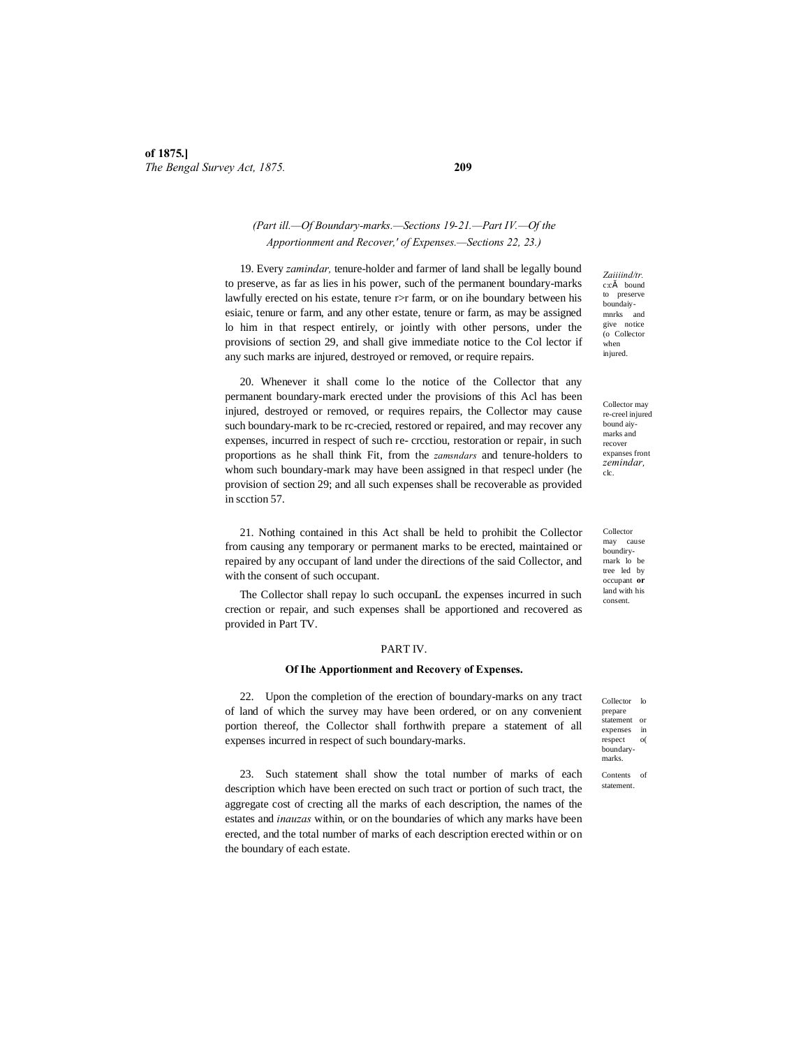# *(Part ill.—Of Boundary-marks.—Sections 19-21.—Part IV.—Of the Apportionment and Recover,' of Expenses.—Sections 22, 23.)*

19. Every *zamindar,* tenure-holder and farmer of land shall be legally bound to preserve, as far as lies in his power, such of the permanent boundary-marks lawfully erected on his estate, tenure r>r farm, or on ihe boundary between his esiaic, tenure or farm, and any other estate, tenure or farm, as may be assigned lo him in that respect entirely, or jointly with other persons, under the provisions of section 29, and shall give immediate notice to the Col lector if any such marks are injured, destroyed or removed, or require repairs.

20. Whenever it shall come lo the notice of the Collector that any permanent boundary-mark erected under the provisions of this Acl has been injured, destroyed or removed, or requires repairs, the Collector may cause such boundary-mark to be rc-crecied, restored or repaired, and may recover any expenses, incurred in respect of such re- crcctiou, restoration or repair, in such proportions as he shall think Fit, from the *zamsndars* and tenure-holders to whom such boundary-mark may have been assigned in that respecl under (he provision of section 29; and all such expenses shall be recoverable as provided in scction 57.

21. Nothing contained in this Act shall be held to prohibit the Collector from causing any temporary or permanent marks to be erected, maintained or repaired by any occupant of land under the directions of the said Collector, and with the consent of such occupant.

The Collector shall repay lo such occupanL the expenses incurred in such crection or repair, and such expenses shall be apportioned and recovered as provided in Part TV.

#### PART IV.

#### **Of Ihe Apportionment and Recovery of Expenses.**

22. Upon the completion of the erection of boundary-marks on any tract of land of which the survey may have been ordered, or on any convenient portion thereof, the Collector shall forthwith prepare a statement of all expenses incurred in respect of such boundary-marks.

23. Such statement shall show the total number of marks of each description which have been erected on such tract or portion of such tract, the aggregate cost of crecting all the marks of each description, the names of the estates and *inauzas* within, or on the boundaries of which any marks have been erected, and the total number of marks of each description erected within or on the boundary of each estate.

*Zaiiiind/tr.*  c:cš bound to preserve boundaiy-mnrks and give notice (o Collector when injured.

Collector may re-creel injured bound aiymarks and recover expanses front *zemindar,*  clc.

Collector may cause boundiryrnark lo be tree led by occupant **or**  land with his consent.

Collector lo prepare statement or expenses in<br>respect o(  $respect$ boundarymarks.

Contents of statement.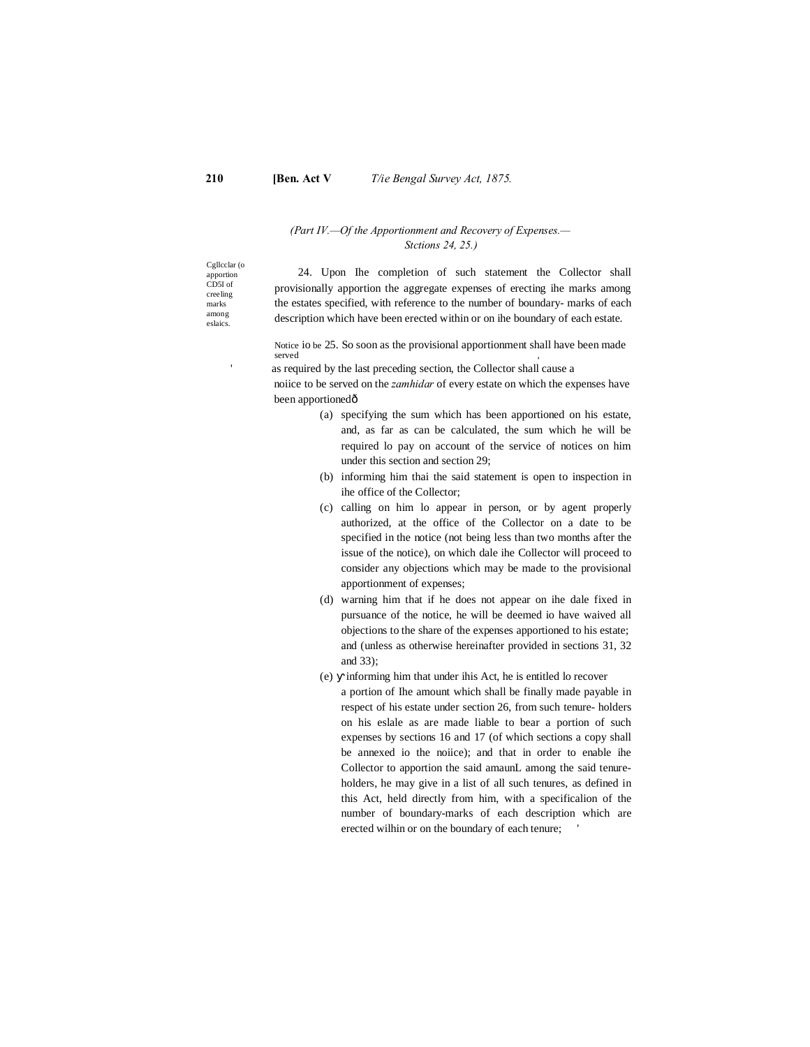# *(Part IV.—Of the Apportionment and Recovery of Expenses.— Stctions 24, 25.)*

Cgllcclar (o apportion CD5I of creeling marks among eslaics.

24. Upon Ihe completion of such statement the Collector shall provisionally apportion the aggregate expenses of erecting ihe marks among the estates specified, with reference to the number of boundary- marks of each description which have been erected within or on ihe boundary of each estate.

Notice io be 25. So soon as the provisional apportionment shall have been made served ,

as required by the last preceding section, the Collector shall cause a

noiice to be served on the *zamhidar* of every estate on which the expenses have been apportionedô

- (a) specifying the sum which has been apportioned on his estate, and, as far as can be calculated, the sum which he will be required lo pay on account of the service of notices on him under this section and section 29;
- (b) informing him thai the said statement is open to inspection in ihe office of the Collector;
- (c) calling on him lo appear in person, or by agent properly authorized, at the office of the Collector on a date to be specified in the notice (not being less than two months after the issue of the notice), on which dale ihe Collector will proceed to consider any objections which may be made to the provisional apportionment of expenses;
- (d) warning him that if he does not appear on ihe dale fixed in pursuance of the notice, he will be deemed io have waived all objections to the share of the expenses apportioned to his estate; and (unless as otherwise hereinafter provided in sections 31, 32 and 33);
- (e) informing him that under ihis Act, he is entitled lo recover a portion of Ihe amount which shall be finally made payable in respect of his estate under section 26, from such tenure- holders on his eslale as are made liable to bear a portion of such expenses by sections 16 and 17 (of which sections a copy shall be annexed io the noiice); and that in order to enable ihe Collector to apportion the said amaunL among the said tenureholders, he may give in a list of all such tenures, as defined in this Act, held directly from him, with a specificalion of the number of boundary-marks of each description which are erected wilhin or on the boundary of each tenure;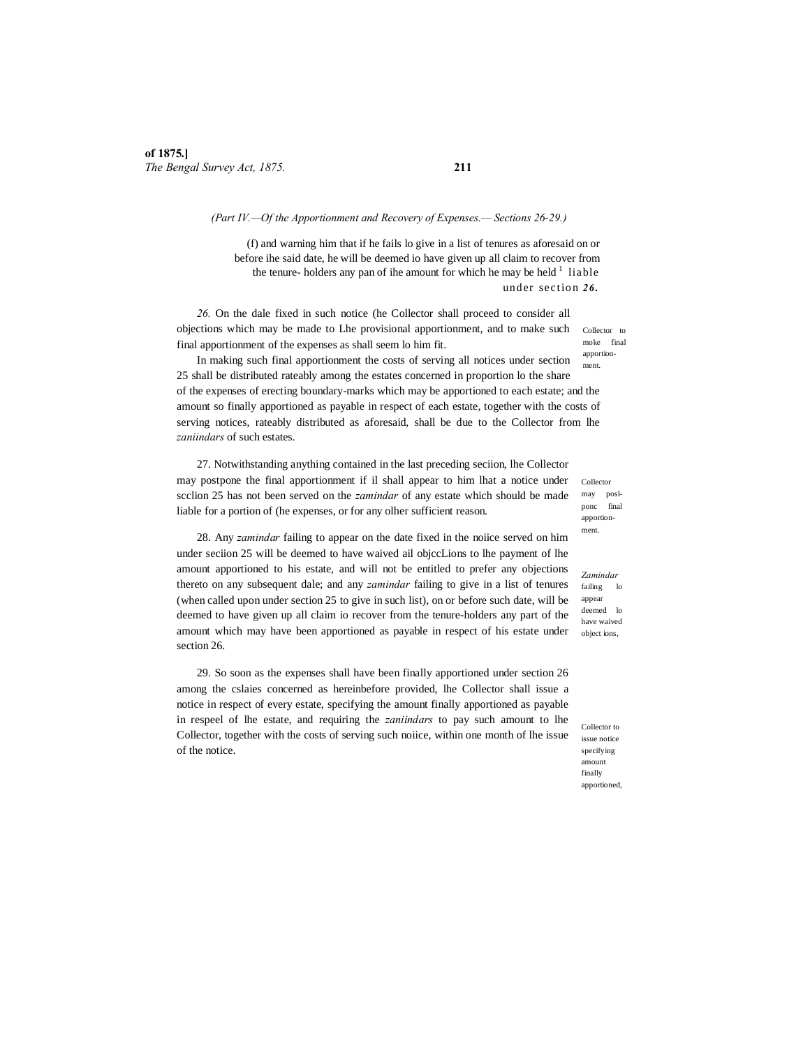#### *(Part IV.—Of the Apportionment and Recovery of Expenses.— Sections 26-29.)*

(f) and warning him that if he fails lo give in a list of tenures as aforesaid on or before ihe said date, he will be deemed io have given up all claim to recover from the tenure- holders any pan of ihe amount for which he may be held  $\frac{1}{1}$  liable under section *26 .*

*26.* On the dale fixed in such notice (he Collector shall proceed to consider all objections which may be made to Lhe provisional apportionment, and to make such final apportionment of the expenses as shall seem lo him fit.

ment. In making such final apportionment the costs of serving all notices under section 25 shall be distributed rateably among the estates concerned in proportion lo the share of the expenses of erecting boundary-marks which may be apportioned to each estate; and the amount so finally apportioned as payable in respect of each estate, together with the costs of serving notices, rateably distributed as aforesaid, shall be due to the Collector from lhe *zaniindars* of such estates.

27. Notwithstanding anything contained in the last preceding seciion, lhe Collector may postpone the final apportionment if il shall appear to him lhat a notice under scclion 25 has not been served on the *zamindar* of any estate which should be made liable for a portion of (he expenses, or for any olher sufficient reason.

28. Any *zamindar* failing to appear on the date fixed in the noiice served on him under seciion 25 will be deemed to have waived ail objccLions to lhe payment of lhe amount apportioned to his estate, and will not be entitled to prefer any objections thereto on any subsequent dale; and any *zamindar* failing to give in a list of tenures (when called upon under section 25 to give in such list), on or before such date, will be deemed to have given up all claim io recover from the tenure-holders any part of the amount which may have been apportioned as payable in respect of his estate under section 26.

29. So soon as the expenses shall have been finally apportioned under section 26 among the cslaies concerned as hereinbefore provided, lhe Collector shall issue a notice in respect of every estate, specifying the amount finally apportioned as payable in respeel of lhe estate, and requiring the *zaniindars* to pay such amount to lhe Collector, together with the costs of serving such noiice, within one month of lhe issue of the notice.

Collector<sub>to</sub> moke final apportion-

Collector may poslponc final apportionment.

*Zamindar*  failing lo appear deemed lo have waived object ions,

Collector to issue notice specifying amount finally apportioned,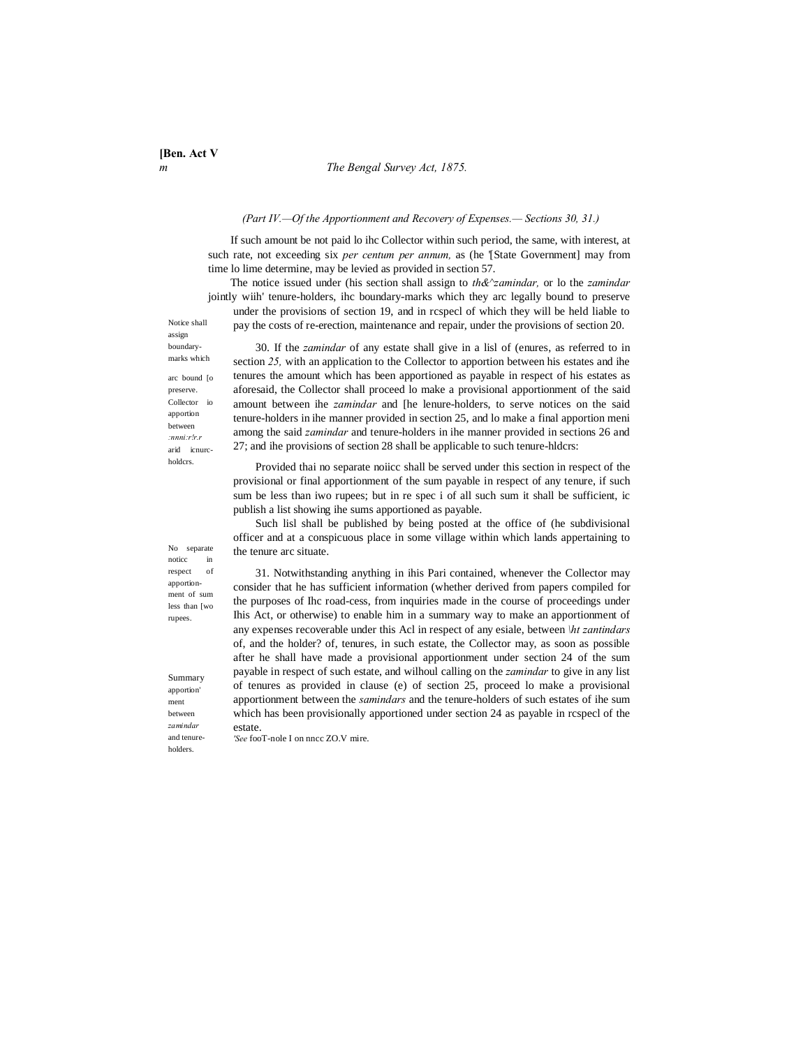#### *m The Bengal Survey Act, 1875.*

#### *(Part IV.—Of the Apportionment and Recovery of Expenses.— Sections 30, 31.)*

If such amount be not paid lo ihc Collector within such period, the same, with interest, at such rate, not exceeding six *per centum per annum*, as (he '[State Government] may from time lo lime determine, may be levied as provided in section 57.

The notice issued under (his section shall assign to *th&^zamindar,* or lo the *zamindar* jointly wiih' tenure-holders, ihc boundary-marks which they arc legally bound to preserve under the provisions of section 19, and in rcspecl of which they will be held liable to pay the costs of re-erection, maintenance and repair, under the provisions of section 20.

Notice shall assign boundarymarks which

arc bound [o preserve. Collector io apportion between *:nnni:r!r.r*  arid icnurcholdcrs.

30. If the *zamindar* of any estate shall give in a lisl of (enures, as referred to in section *25,* with an application to the Collector to apportion between his estates and ihe tenures the amount which has been apportioned as payable in respect of his estates as aforesaid, the Collector shall proceed lo make a provisional apportionment of the said amount between ihe *zamindar* and [he lenure-holders, to serve notices on the said tenure-holders in ihe manner provided in section 25, and lo make a final apportion meni among the said *zamindar* and tenure-holders in ihe manner provided in sections 26 and 27; and ihe provisions of section 28 shall be applicable to such tenure-hldcrs:

Provided thai no separate noiicc shall be served under this section in respect of the provisional or final apportionment of the sum payable in respect of any tenure, if such sum be less than iwo rupees; but in re spec i of all such sum it shall be sufficient, ic publish a list showing ihe sums apportioned as payable.

Such lisl shall be published by being posted at the office of (he subdivisional officer and at a conspicuous place in some village within which lands appertaining to the tenure arc situate.

31. Notwithstanding anything in ihis Pari contained, whenever the Collector may consider that he has sufficient information (whether derived from papers compiled for the purposes of Ihc road-cess, from inquiries made in the course of proceedings under Ihis Act, or otherwise) to enable him in a summary way to make an apportionment of any expenses recoverable under this Acl in respect of any esiale, between *\ht zantindars*  of, and the holder? of, tenures, in such estate, the Collector may, as soon as possible after he shall have made a provisional apportionment under section 24 of the sum payable in respect of such estate, and wilhoul calling on the *zamindar* to give in any list of tenures as provided in clause (e) of section 25, proceed lo make a provisional apportionment between the *samindars* and the tenure-holders of such estates of ihe sum which has been provisionally apportioned under section 24 as payable in rcspecl of the estate.

*'See* fooT-nole I on nncc ZO.V mire.

No separate noticc in respect of apportionment of sum less than [wo rupees.

Summary apportion' ment between *zamindar* and tenureholders.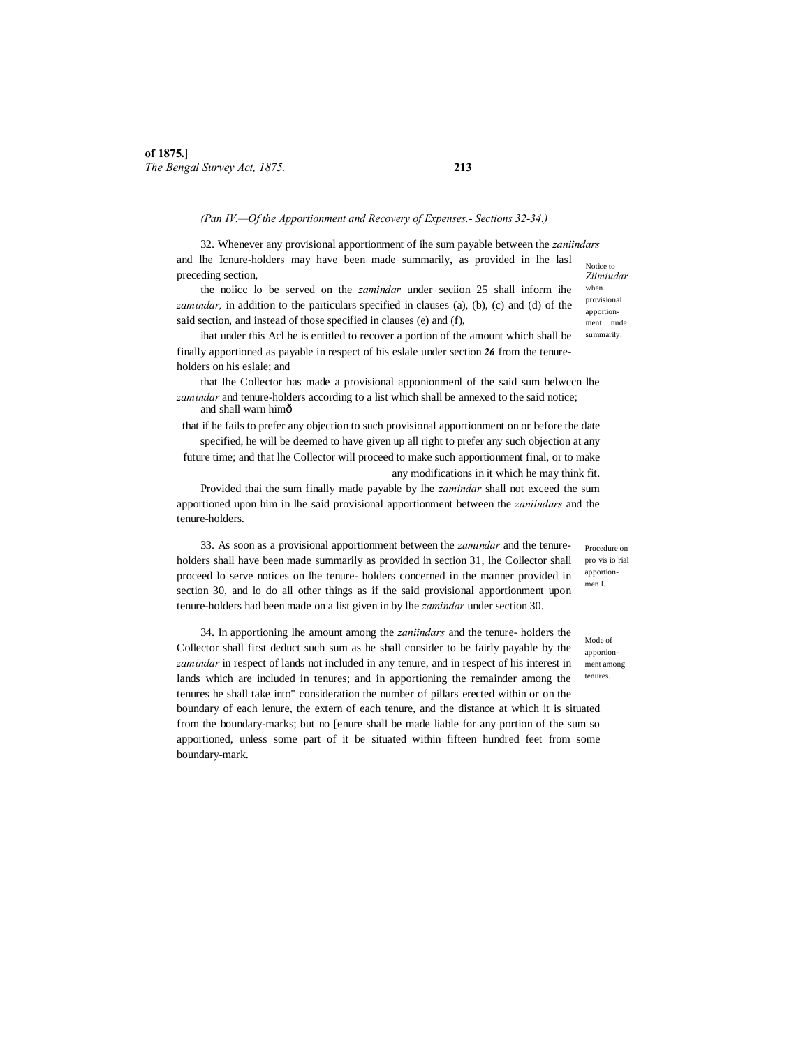#### *(Pan IV.—Of the Apportionment and Recovery of Expenses.- Sections 32-34.)*

Notice to *Ziimiudar* 32. Whenever any provisional apportionment of ihe sum payable between the *zaniindars* and lhe Icnure-holders may have been made summarily, as provided in lhe lasl preceding section,

the noiicc lo be served on the *zamindar* under seciion 25 shall inform ihe *zamindar,* in addition to the particulars specified in clauses (a), (b), (c) and (d) of the said section, and instead of those specified in clauses (e) and (f),

ihat under this Acl he is entitled to recover a portion of the amount which shall be finally apportioned as payable in respect of his eslale under section *26* from the tenureholders on his eslale; and

that Ihe Collector has made a provisional apponionmenl of the said sum belwccn lhe *zamindar* and tenure-holders according to a list which shall be annexed to the said notice; and shall warn him—

that if he fails to prefer any objection to such provisional apportionment on or before the date specified, he will be deemed to have given up all right to prefer any such objection at any future time; and that lhe Collector will proceed to make such apportionment final, or to make

any modifications in it which he may think fit.

Provided thai the sum finally made payable by lhe *zamindar* shall not exceed the sum apportioned upon him in lhe said provisional apportionment between the *zaniindars* and the tenure-holders.

33. As soon as a provisional apportionment between the *zamindar* and the tenureholders shall have been made summarily as provided in section 31, lhe Collector shall proceed lo serve notices on lhe tenure- holders concerned in the manner provided in section 30, and lo do all other things as if the said provisional apportionment upon tenure-holders had been made on a list given in by lhe *zamindar* under section 30.

34. In apportioning lhe amount among the *zaniindars* and the tenure- holders the Collector shall first deduct such sum as he shall consider to be fairly payable by the *zamindar* in respect of lands not included in any tenure, and in respect of his interest in lands which are included in tenures; and in apportioning the remainder among the tenures he shall take into" consideration the number of pillars erected within or on the boundary of each lenure, the extern of each tenure, and the distance at which it is situated from the boundary-marks; but no [enure shall be made liable for any portion of the sum so apportioned, unless some part of it be situated within fifteen hundred feet from some boundary-mark.

Procedure on pro vis io rial apportionmen l.

Mode of apportionment among tenures.

when provisional apportionment nude summarily.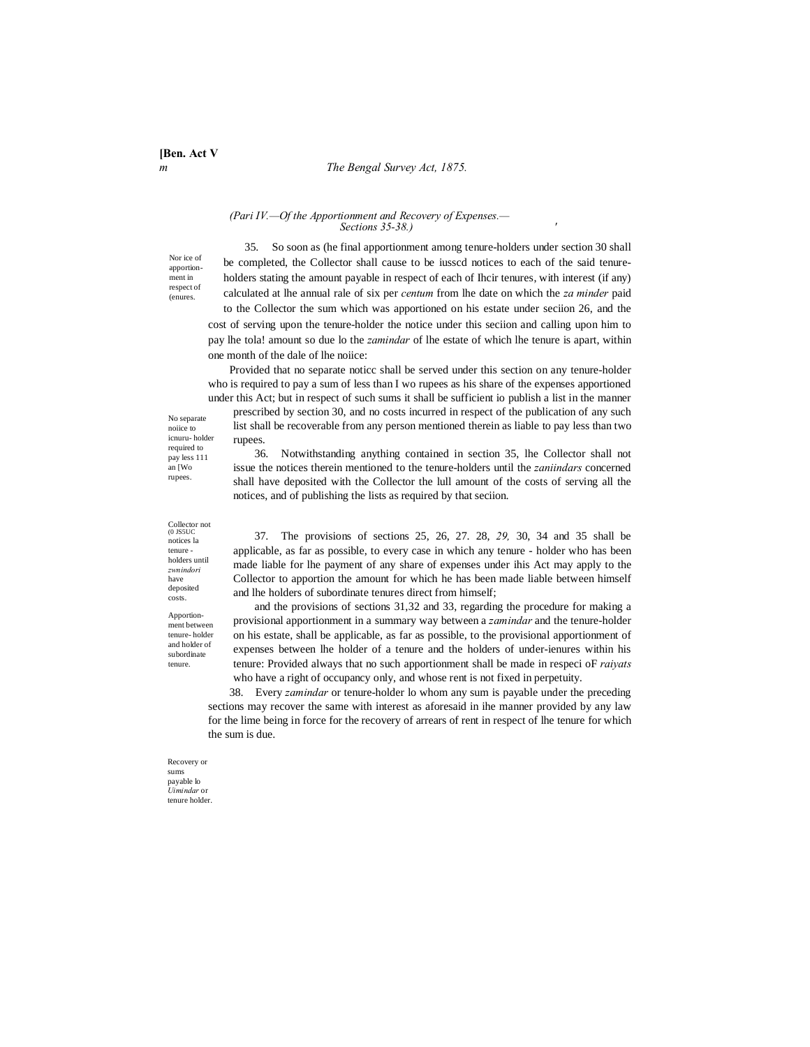#### *m The Bengal Survey Act, 1875.*

# *(Pari IV.—Of the Apportionment and Recovery of Expenses.— Sections 35-38.) '*

Nor ice of apportionment in respect of (enures.

35. So soon as (he final apportionment among tenure-holders under section 30 shall be completed, the Collector shall cause to be iusscd notices to each of the said tenureholders stating the amount payable in respect of each of Ihcir tenures, with interest (if any) calculated at lhe annual rale of six per *centum* from lhe date on which the *za minder* paid to the Collector the sum which was apportioned on his estate under seciion 26, and the cost of serving upon the tenure-holder the notice under this seciion and calling upon him to

pay lhe tola! amount so due lo the *zamindar* of lhe estate of which lhe tenure is apart, within one month of the dale of lhe noiice:

Provided that no separate noticc shall be served under this section on any tenure-holder who is required to pay a sum of less than I wo rupees as his share of the expenses apportioned under this Act; but in respect of such sums it shall be sufficient io publish a list in the manner

prescribed by section 30, and no costs incurred in respect of the publication of any such list shall be recoverable from any person mentioned therein as liable to pay less than two rupees.

36. Notwithstanding anything contained in section 35, lhe Collector shall not issue the notices therein mentioned to the tenure-holders until the *zaniindars* concerned shall have deposited with the Collector the lull amount of the costs of serving all the notices, and of publishing the lists as required by that seciion.

37. The provisions of sections 25, 26, 27. 28, *29,* 30, 34 and 35 shall be applicable, as far as possible, to every case in which any tenure - holder who has been made liable for lhe payment of any share of expenses under ihis Act may apply to the Collector to apportion the amount for which he has been made liable between himself and lhe holders of subordinate tenures direct from himself;

and the provisions of sections 31,32 and 33, regarding the procedure for making a provisional apportionment in a summary way between a *zamindar* and the tenure-holder on his estate, shall be applicable, as far as possible, to the provisional apportionment of expenses between lhe holder of a tenure and the holders of under-ienures within his tenure: Provided always that no such apportionment shall be made in respeci oF *raiyats* who have a right of occupancy only, and whose rent is not fixed in perpetuity.

38. Every *zamindar* or tenure-holder lo whom any sum is payable under the preceding sections may recover the same with interest as aforesaid in ihe manner provided by any law for the lime being in force for the recovery of arrears of rent in respect of lhe tenure for which the sum is due.

Recovery or sums payable lo *Uimindar* or tenure holder.

Collector not (0 JS5UC notices la tenure holders until *zwnindori* have deposited

No separate noiice to icnuru- holder required to pay less 111 an [Wo rupees.

Apportionment between tenure- holder and holder of subordinate tenure.

costs.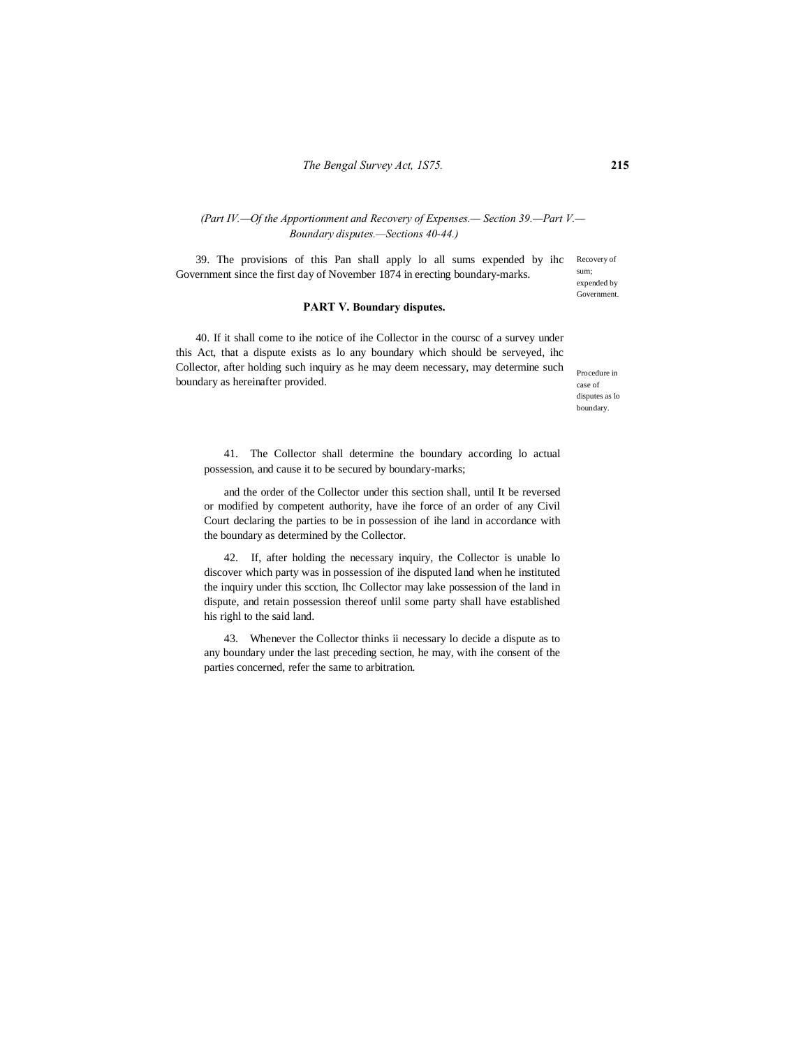# *(Part IV.—Of the Apportionment and Recovery of Expenses.— Section 39.—Part V.— Boundary disputes.—Sections 40-44.)*

Recovery of sum; expended by 39. The provisions of this Pan shall apply lo all sums expended by ihc Government since the first day of November 1874 in erecting boundary-marks.

#### **PART V. Boundary disputes.**

40. If it shall come to ihe notice of ihe Collector in the coursc of a survey under this Act, that a dispute exists as lo any boundary which should be serveyed, ihc Collector, after holding such inquiry as he may deem necessary, may determine such boundary as hereinafter provided.

Procedure in case of disputes as lo boundary.

Government.

41. The Collector shall determine the boundary according lo actual possession, and cause it to be secured by boundary-marks;

and the order of the Collector under this section shall, until It be reversed or modified by competent authority, have ihe force of an order of any Civil Court declaring the parties to be in possession of ihe land in accordance with the boundary as determined by the Collector.

42. If, after holding the necessary inquiry, the Collector is unable lo discover which party was in possession of ihe disputed land when he instituted the inquiry under this scction, Ihc Collector may lake possession of the land in dispute, and retain possession thereof unlil some party shall have established his righl to the said land.

43. Whenever the Collector thinks ii necessary lo decide a dispute as to any boundary under the last preceding section, he may, with ihe consent of the parties concerned, refer the same to arbitration.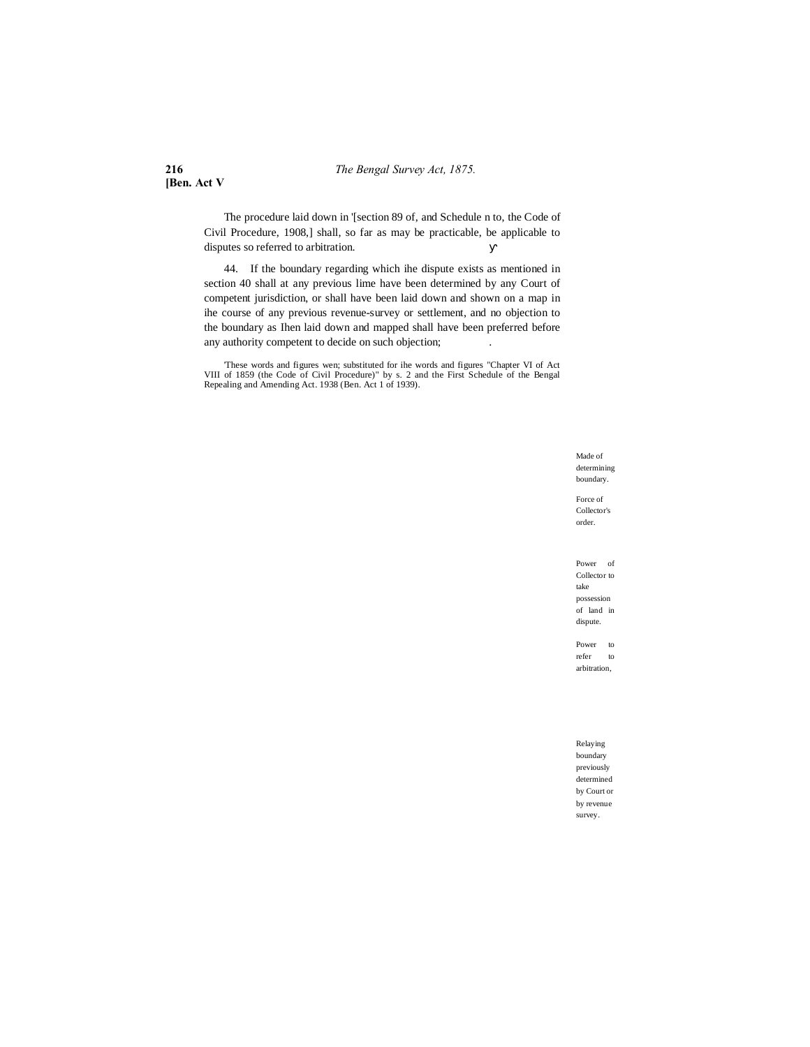**216** *The Bengal Survey Act, 1875.*

**[Ben. Act V**

The procedure laid down in '[section 89 of, and Schedule n to, the Code of Civil Procedure, 1908,] shall, so far as may be practicable, be applicable to disputes so referred to arbitration.

44. If the boundary regarding which ihe dispute exists as mentioned in section 40 shall at any previous lime have been determined by any Court of competent jurisdiction, or shall have been laid down and shown on a map in ihe course of any previous revenue-survey or settlement, and no objection to the boundary as Ihen laid down and mapped shall have been preferred before any authority competent to decide on such objection;

These words and figures wen; substituted for ihe words and figures "Chapter VI of Act VIII of 1859 (the Code of Civil Procedure)" by s. 2 and the First Schedule of the Bengal Repealing and Amending Act. 1938 (Ben. Act 1 of

Made of determining boundary.

Force of Collector's order.

Power of Collector to take possession of land in dispute.

Power to refer to arbitration,

Relaying boundary previously determined by Court or by revenue survey.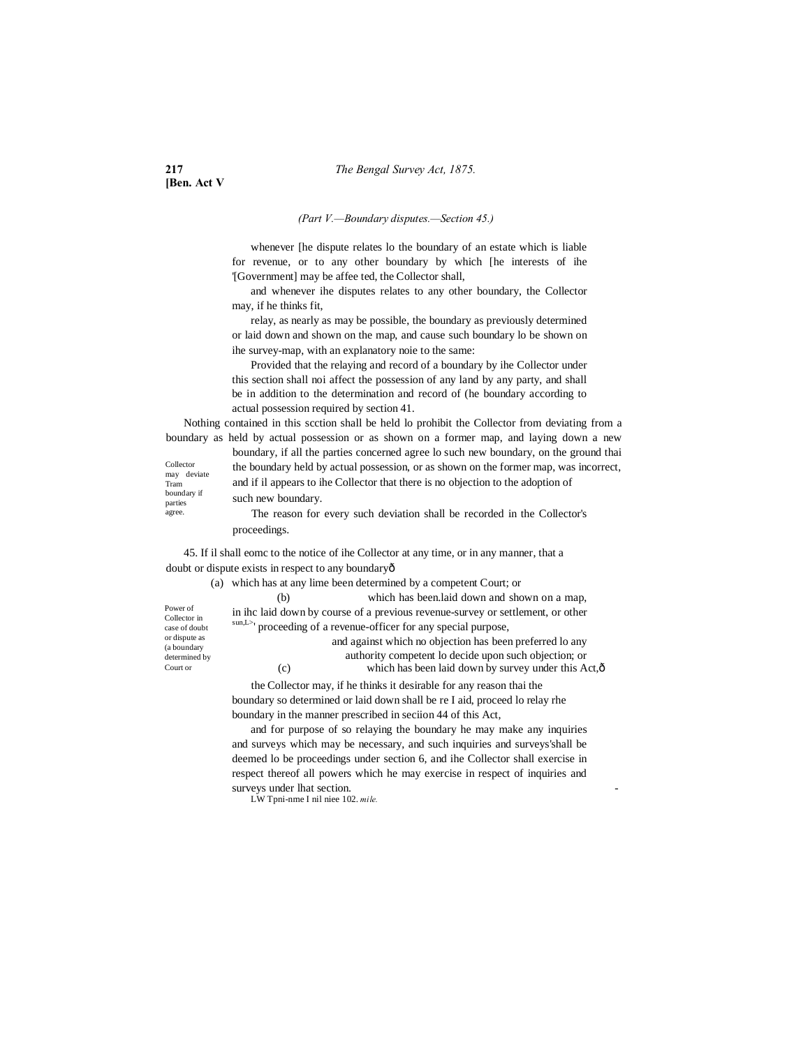**[Ben. Act V**

#### *(Part V.—Boundary disputes.—Section 45.)*

whenever [he dispute relates lo the boundary of an estate which is liable for revenue, or to any other boundary by which [he interests of ihe '[Government] may be affee ted, the Collector shall,

and whenever ihe disputes relates to any other boundary, the Collector may, if he thinks fit,

relay, as nearly as may be possible, the boundary as previously determined or laid down and shown on the map, and cause such boundary lo be shown on ihe survey-map, with an explanatory noie to the same:

Provided that the relaying and record of a boundary by ihe Collector under this section shall noi affect the possession of any land by any party, and shall be in addition to the determination and record of (he boundary according to actual possession required by section 41.

Nothing contained in this scction shall be held lo prohibit the Collector from deviating from a boundary as held by actual possession or as shown on a former map, and laying down a new

Collector may deviate Tram boundary if parties agree.

boundary, if all the parties concerned agree lo such new boundary, on the ground thai the boundary held by actual possession, or as shown on the former map, was incorrect, and if il appears to ihe Collector that there is no objection to the adoption of such new boundary.

The reason for every such deviation shall be recorded in the Collector's proceedings.

45. If il shall eomc to the notice of ihe Collector at any time, or in any manner, that a doubt or dispute exists in respect to any boundaryô

(a) which has at any lime been determined by a competent Court; or

Power of Collector in case of doubt or dispute as (a boundary determined by Court or

(b) which has been.laid down and shown on a map, in ihc laid down by course of a previous revenue-survey or settlement, or other sun,L>' proceeding of a revenue-officer for any special purpose, and against which no objection has been preferred lo any authority competent lo decide upon such objection; or (c) which has been laid down by survey under this  $Act,\hat{0}$ 

the Collector may, if he thinks it desirable for any reason thai the boundary so determined or laid down shall be re I aid, proceed lo relay rhe boundary in the manner prescribed in seciion 44 of this Act,

and for purpose of so relaying the boundary he may make any inquiries and surveys which may be necessary, and such inquiries and surveys'shall be deemed lo be proceedings under section 6, and ihe Collector shall exercise in respect thereof all powers which he may exercise in respect of inquiries and surveys under lhat section.

LW Tpni-nme I nil niee 102. *mile.*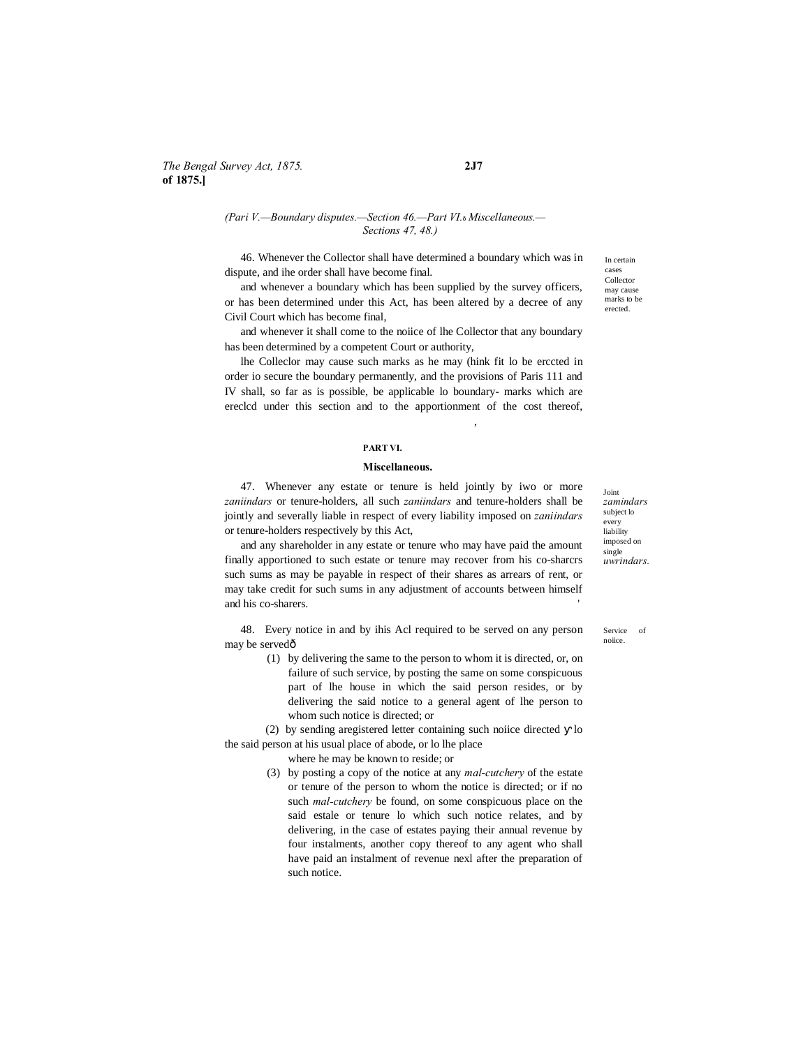#### *(Pari V.—Boundary disputes.—Section 46.—Part VI.*—*Miscellaneous.— Sections 47, 48.)*

46. Whenever the Collector shall have determined a boundary which was in dispute, and ihe order shall have become final.

and whenever a boundary which has been supplied by the survey officers, or has been determined under this Act, has been altered by a decree of any Civil Court which has become final,

and whenever it shall come to the noiice of lhe Collector that any boundary has been determined by a competent Court or authority,

lhe Colleclor may cause such marks as he may (hink fit lo be erccted in order io secure the boundary permanently, and the provisions of Paris 111 and IV shall, so far as is possible, be applicable lo boundary- marks which are ereclcd under this section and to the apportionment of the cost thereof,

# **PART VI.**

#### **Miscellaneous.**

47. Whenever any estate or tenure is held jointly by iwo or more *zaniindars* or tenure-holders, all such *zaniindars* and tenure-holders shall be jointly and severally liable in respect of every liability imposed on *zaniindars* or tenure-holders respectively by this Act,

and any shareholder in any estate or tenure who may have paid the amount finally apportioned to such estate or tenure may recover from his co-sharcrs such sums as may be payable in respect of their shares as arrears of rent, or may take credit for such sums in any adjustment of accounts between himself and his co-sharers.

48. Every notice in and by ihis Acl required to be served on any person may be servedô

> (1) by delivering the same to the person to whom it is directed, or, on failure of such service, by posting the same on some conspicuous part of lhe house in which the said person resides, or by delivering the said notice to a general agent of lhe person to whom such notice is directed; or

(2) by sending aregistered letter containing such noiice directed lo the said person at his usual place of abode, or lo lhe place

where he may be known to reside; or

(3) by posting a copy of the notice at any *mal-cutchery* of the estate or tenure of the person to whom the notice is directed; or if no such *mal-cutchery* be found, on some conspicuous place on the said estale or tenure lo which such notice relates, and by delivering, in the case of estates paying their annual revenue by four instalments, another copy thereof to any agent who shall have paid an instalment of revenue nexl after the preparation of such notice.

Joint *zamindars* subject lo every liability imposed on single *uwrindars.*

Service of noiice.

In certain cases Collector may cause marks to be erected.

,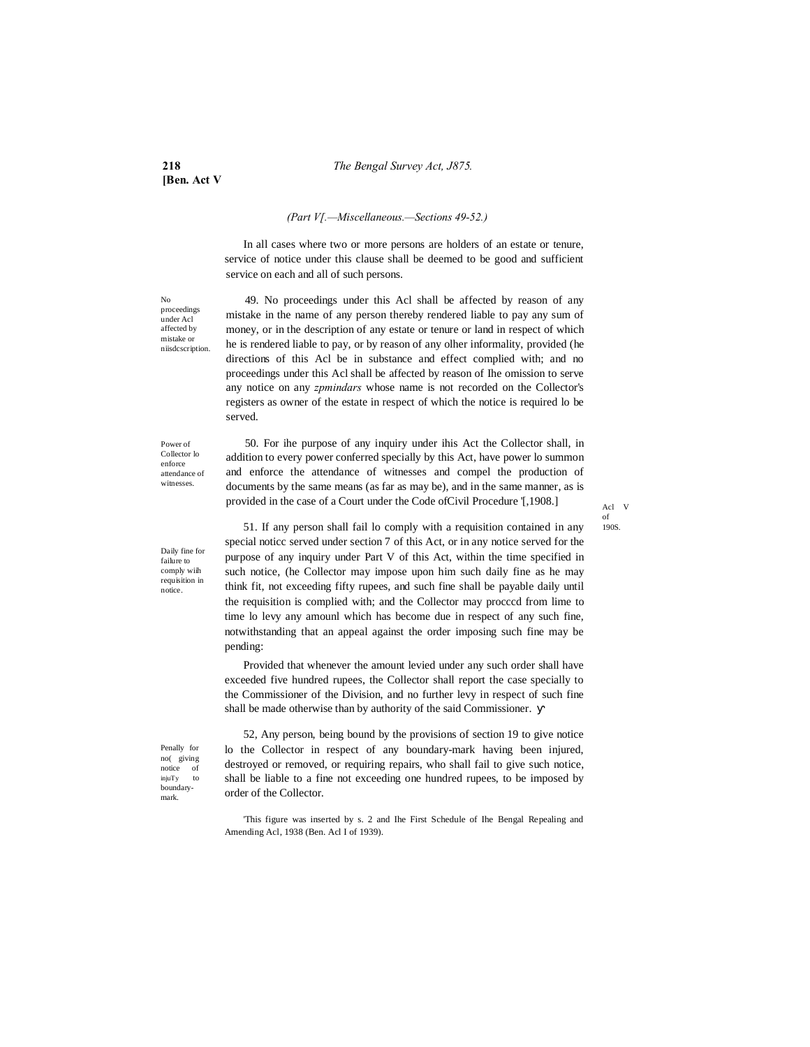**[Ben. Act V**

# *(Part V[.—Miscellaneous.—Sections 49-52.)*

In all cases where two or more persons are holders of an estate or tenure, service of notice under this clause shall be deemed to be good and sufficient service on each and all of such persons.

No proceedings under Acl affected by mistake or niisdcscription.

49. No proceedings under this Acl shall be affected by reason of any mistake in the name of any person thereby rendered liable to pay any sum of money, or in the description of any estate or tenure or land in respect of which he is rendered liable to pay, or by reason of any olher informality, provided (he directions of this Acl be in substance and effect complied with; and no proceedings under this Acl shall be affected by reason of Ihe omission to serve any notice on any *zpmindars* whose name is not recorded on the Collector's registers as owner of the estate in respect of which the notice is required lo be served.

Power of Collector lo enforce attendance of witnesses.

Daily fine for failure to comply wiih requisition in notice.

50. For ihe purpose of any inquiry under ihis Act the Collector shall, in addition to every power conferred specially by this Act, have power lo summon and enforce the attendance of witnesses and compel the production of documents by the same means (as far as may be), and in the same manner, as is provided in the case of a Court under the Code ofCivil Procedure '[,1908.]

51. If any person shall fail lo comply with a requisition contained in any special noticc served under section 7 of this Act, or in any notice served for the purpose of any inquiry under Part V of this Act, within the time specified in such notice, (he Collector may impose upon him such daily fine as he may think fit, not exceeding fifty rupees, and such fine shall be payable daily until the requisition is complied with; and the Collector may procccd from lime to time lo levy any amounl which has become due in respect of any such fine, notwithstanding that an appeal against the order imposing such fine may be pending:

Provided that whenever the amount levied under any such order shall have exceeded five hundred rupees, the Collector shall report the case specially to the Commissioner of the Division, and no further levy in respect of such fine shall be made otherwise than by authority of the said Commissioner.

Penally for no( giving notice of injuTy to boundarymark.

52, Any person, being bound by the provisions of section 19 to give notice lo the Collector in respect of any boundary-mark having been injured, destroyed or removed, or requiring repairs, who shall fail to give such notice, shall be liable to a fine not exceeding one hundred rupees, to be imposed by order of the Collector.

Acl V of 190S.

<sup>&#</sup>x27;This figure was inserted by s. 2 and Ihe First Schedule of Ihe Bengal Repealing and Amending Acl, 1938 (Ben. Acl I of 1939).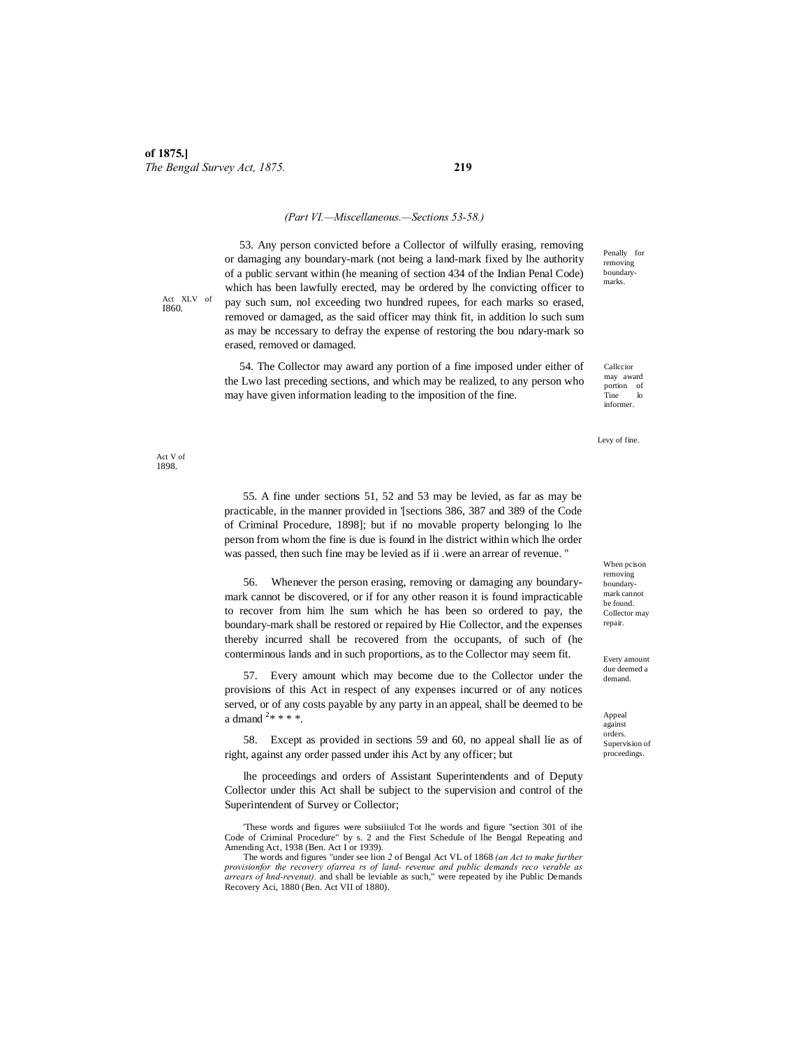#### *(Part VI.—Miscellaneous.—Sections 53-58.)*

53. Any person convicted before a Collector of wilfully erasing, removing or damaging any boundary-mark (not being a land-mark fixed by lhe authority of a public servant within (he meaning of section 434 of the Indian Penal Code) which has been lawfully erected, may be ordered by lhe convicting officer to pay such sum, nol exceeding two hundred rupees, for each marks so erased, removed or damaged, as the said officer may think fit, in addition lo such sum as may be nccessary to defray the expense of restoring the bou ndary-mark so erased, removed or damaged.

54. The Collector may award any portion of a fine imposed under either of the Lwo last preceding sections, and which may be realized, to any person who may have given information leading to the imposition of the fine.

Penally for removing boundarymarks.

Callccior may award portion of Tine lo informer.

Levy of fine.

When pcison removing boundarymark cannot be found. Collector may repair.

Every amount due deemed a demand.

Appeal against orders. Supervision of proceedings.

Act XLV of I860.

Act V of 1898.

> 55. A fine under sections 51, 52 and 53 may be levied, as far as may be practicable, in the manner provided in '[sections 386, 387 and 389 of the Code of Criminal Procedure, 1898]; but if no movable property belonging lo lhe person from whom the fine is due is found in lhe district within which lhe order was passed, then such fine may be levied as if ii .were an arrear of revenue. "

> 56. Whenever the person erasing, removing or damaging any boundarymark cannot be discovered, or if for any other reason it is found impracticable to recover from him lhe sum which he has been so ordered to pay, the boundary-mark shall be restored or repaired by Hie Collector, and the expenses thereby incurred shall be recovered from the occupants, of such of (he conterminous lands and in such proportions, as to the Collector may seem fit.

> 57. Every amount which may become due to the Collector under the provisions of this Act in respect of any expenses incurred or of any notices served, or of any costs payable by any party in an appeal, shall be deemed to be a dmand  $2****$ .

> 58. Except as provided in sections 59 and 60, no appeal shall lie as of right, against any order passed under ihis Act by any officer; but

> lhe proceedings and orders of Assistant Superintendents and of Deputy Collector under this Act shall be subject to the supervision and control of the Superintendent of Survey or Collector;

> 'These words and figures were subsiiiulcd Tot lhe words and figure ''section 301 of ihe Code of Criminal Procedure" by s. 2 and the First Schedule of lhe Bengal Repeating and Amending Act, 1938 (Ben. Act I or 1939).

> The words and figures "under see lion *2* of Bengal Act VL of 1868 *(an Act to make further provisionfor the recovery ofarrea rs of land- revenue and public demands reco verable as arrears of hnd-revenut).* and shall be leviable as such," were repeated by ihe Public Demands Recovery Aci, 1880 (Ben. Act VII of 1880).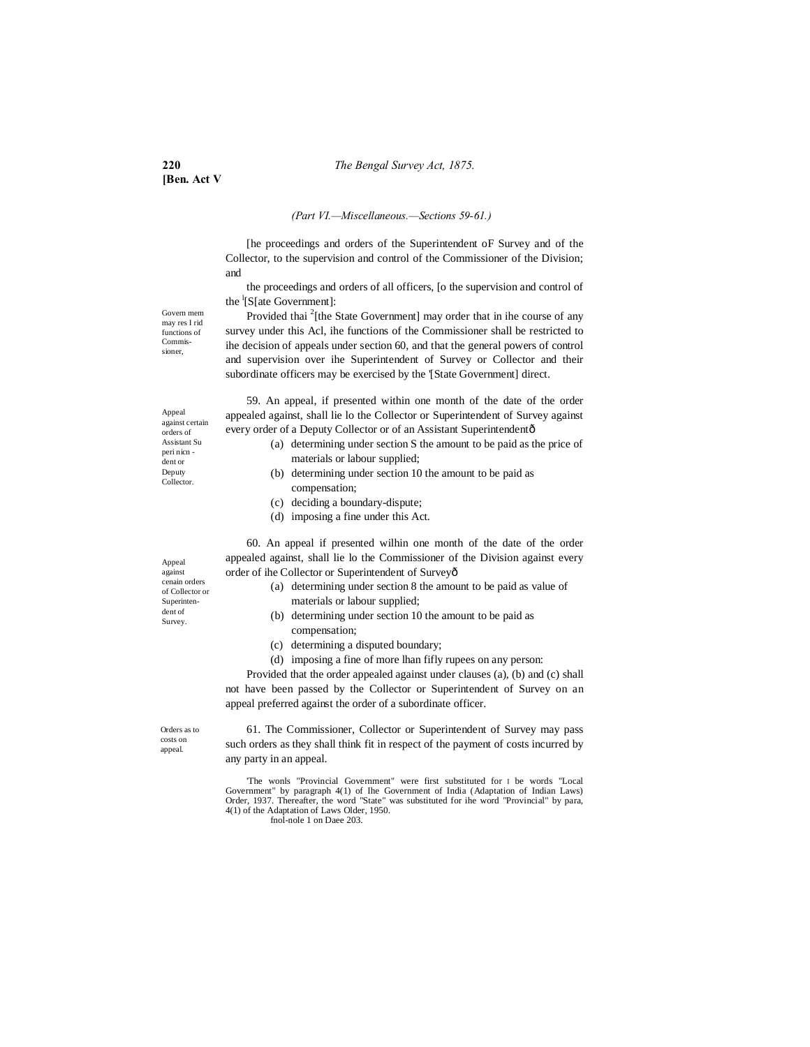**[Ben. Act V**

#### *(Part VI.—Miscellaneous.—Sections 59-61.)*

[he proceedings and orders of the Superintendent oF Survey and of the Collector, to the supervision and control of the Commissioner of the Division; and

the proceedings and orders of all officers, [o the supervision and control of the <sup>1</sup>[S[ate Government]:

Govern mem may res I rid functions of Commissioner,

Provided thai <sup>2</sup>[the State Government] may order that in ihe course of any survey under this Acl, ihe functions of the Commissioner shall be restricted to ihe decision of appeals under section 60, and that the general powers of control and supervision over ihe Superintendent of Survey or Collector and their subordinate officers may be exercised by the '[State Government] direct.

59. An appeal, if presented within one month of the date of the order appealed against, shall lie lo the Collector or Superintendent of Survey against every order of a Deputy Collector or of an Assistant Superintendentô

- (a) determining under section S the amount to be paid as the price of materials or labour supplied;
- (b) determining under section 10 the amount to be paid as compensation;
- (c) deciding a boundary-dispute;
- (d) imposing a fine under this Act.

60. An appeal if presented wilhin one month of the date of the order appealed against, shall lie lo the Commissioner of the Division against every order of ihe Collector or Superintendent of Survey—

- (a) determining under section 8 the amount to be paid as value of materials or labour supplied;
- (b) determining under section 10 the amount to be paid as compensation;
- (c) determining a disputed boundary;
- (d) imposing a fine of more lhan fifly rupees on any person:

Provided that the order appealed against under clauses (a), (b) and (c) shall not have been passed by the Collector or Superintendent of Survey on an appeal preferred against the order of a subordinate officer.

Orders as to costs on appeal.

61. The Commissioner, Collector or Superintendent of Survey may pass such orders as they shall think fit in respect of the payment of costs incurred by any party in an appeal.

'The wonls "Provincial Government" were first substituted for I be words "Local Government" by paragraph 4(1) of Ihe Government of India (Adaptation of Indian Laws) Order, 1937. Thereafter, the word "State" was substituted for ihe word "Provincial" by para, 4(1) of the Adaptation of Laws Older, 1950.

fnol-nole 1 on Daee 203.

Appeal against certain orders of

Assistant Su peri nicn dent or Deputy Collector.

Appeal against cenain orders of Collector or Superintendent of Survey.